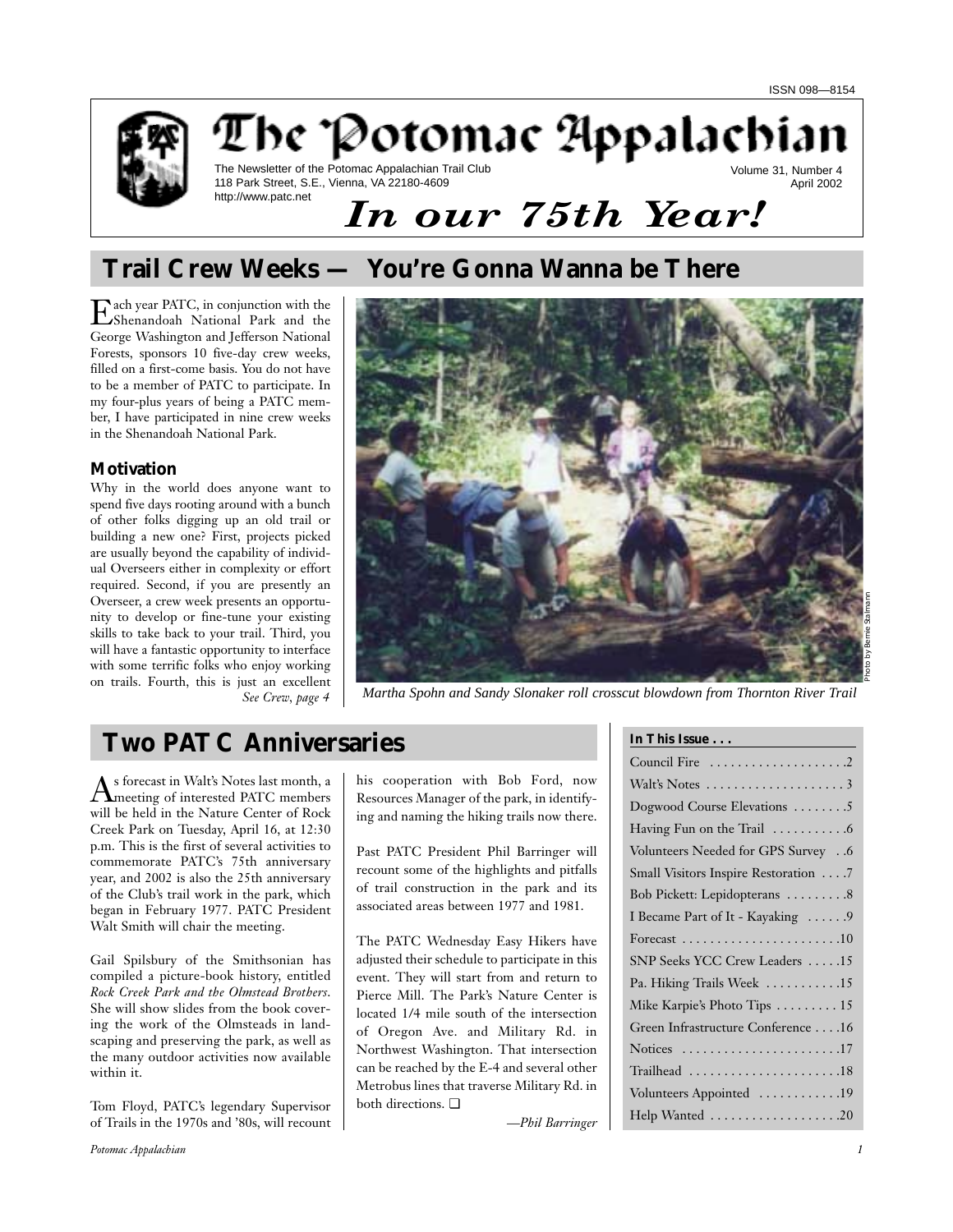

## The Potomac Appalachian The Newsletter of the Potomac Appalachian Trail Club Volume 31, Number 4 April 2002

118 Park Street, S.E., Vienna, VA 22180-4609 http://www.patc.net

# *In our 75th Year!*

# **Trail Crew Weeks — You're Gonna Wanna be There**

Each year PATC, in conjunction with the<br>Shenandoah National Park and the George Washington and Jefferson National Forests, sponsors 10 five-day crew weeks, filled on a first-come basis. You do not have to be a member of PATC to participate. In my four-plus years of being a PATC member, I have participated in nine crew weeks in the Shenandoah National Park.

#### **Motivation**

Why in the world does anyone want to spend five days rooting around with a bunch of other folks digging up an old trail or building a new one? First, projects picked are usually beyond the capability of individual Overseers either in complexity or effort required. Second, if you are presently an Overseer, a crew week presents an opportunity to develop or fine-tune your existing skills to take back to your trail. Third, you will have a fantastic opportunity to interface with some terrific folks who enjoy working on trails. Fourth, this is just an excellent *See Crew, page 4*



*Martha Spohn and Sandy Slonaker roll crosscut blowdown from Thornton River Trail*

# **Two PATC Anniversaries**

As forecast in Walt's Notes last month, a meeting of interested PATC members will be held in the Nature Center of Rock Creek Park on Tuesday, April 16, at 12:30 p.m. This is the first of several activities to commemorate PATC's 75th anniversary year, and 2002 is also the 25th anniversary of the Club's trail work in the park, which began in February 1977. PATC President Walt Smith will chair the meeting.

Gail Spilsbury of the Smithsonian has compiled a picture-book history, entitled *Rock Creek Park and the Olmstead Brothers*. She will show slides from the book covering the work of the Olmsteads in landscaping and preserving the park, as well as the many outdoor activities now available within it.

Tom Floyd, PATC's legendary Supervisor of Trails in the 1970s and '80s, will recount his cooperation with Bob Ford, now Resources Manager of the park, in identifying and naming the hiking trails now there.

Past PATC President Phil Barringer will recount some of the highlights and pitfalls of trail construction in the park and its associated areas between 1977 and 1981.

The PATC Wednesday Easy Hikers have adjusted their schedule to participate in this event. They will start from and return to Pierce Mill. The Park's Nature Center is located 1/4 mile south of the intersection of Oregon Ave. and Military Rd. in Northwest Washington. That intersection can be reached by the E-4 and several other Metrobus lines that traverse Military Rd. in both directions. ❏

*—Phil Barringer*

**In This Issue . . .**

*Potomac Appalachian 1*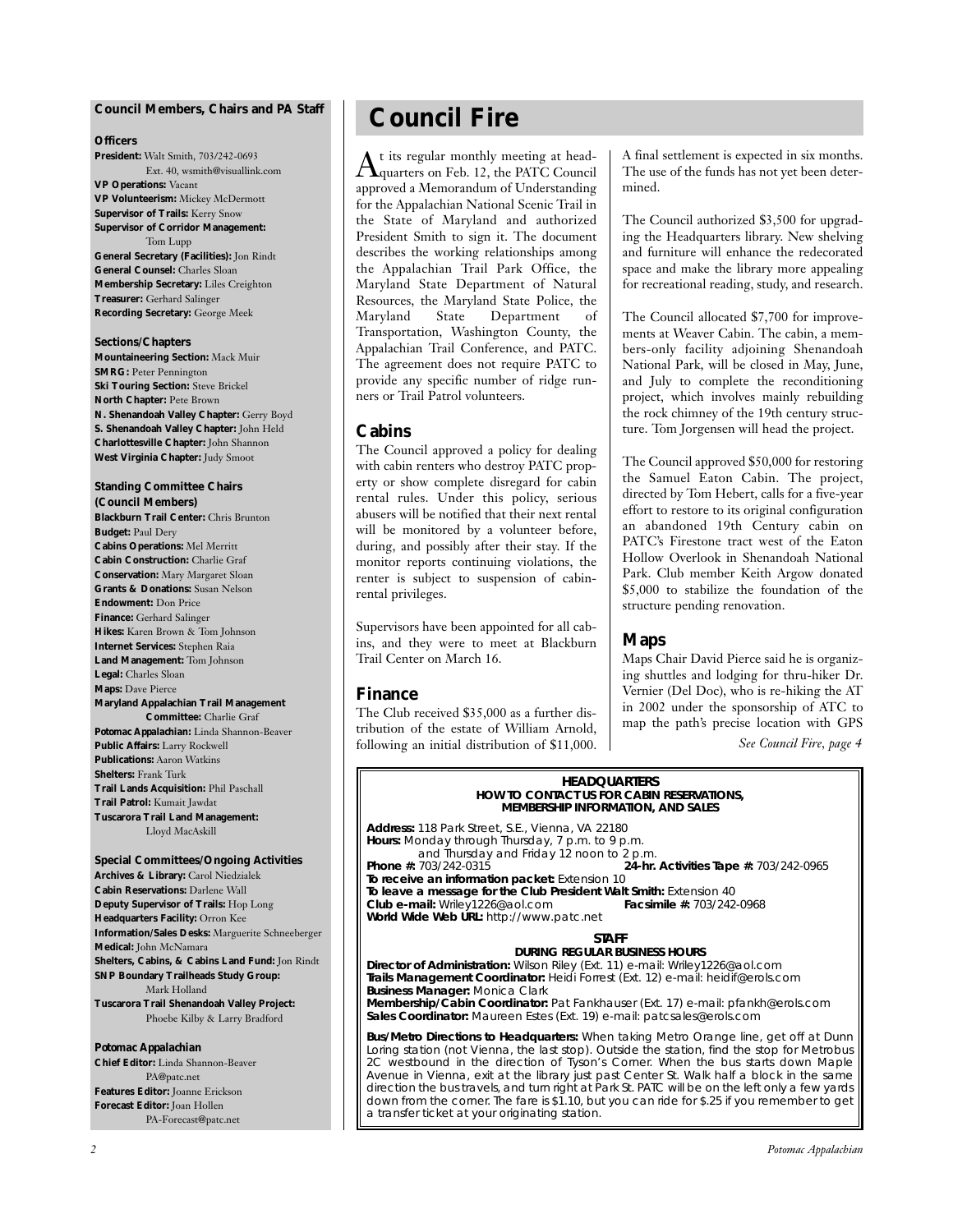#### **Council Members, Chairs and** *PA* **Staff**

#### **Officers**

**President:** Walt Smith, 703/242-0693 Ext. 40, wsmith@visuallink.com **VP Operations:** Vacant **VP Volunteerism:** Mickey McDermott **Supervisor of Trails:** Kerry Snow **Supervisor of Corridor Management:** Tom Lupp **General Secretary (Facilities):** Jon Rindt **General Counsel:** Charles Sloan **Membership Secretary:** Liles Creighton **Treasurer:** Gerhard Salinger **Recording Secretary:** George Meek

#### **Sections/Chapters**

**Mountaineering Section:** Mack Muir **SMRG:** Peter Pennington **Ski Touring Section:** Steve Brickel **North Chapter:** Pete Brown **N. Shenandoah Valley Chapter:** Gerry Boyd **S. Shenandoah Valley Chapter:** John Held **Charlottesville Chapter:** John Shannon **West Virginia Chapter:** Judy Smoot

## **Standing Committee Chairs**

**(Council Members) Blackburn Trail Center:** Chris Brunton **Budget:** Paul Dery **Cabins Operations:** Mel Merritt **Cabin Construction:** Charlie Graf **Conservation:** Mary Margaret Sloan **Grants & Donations:** Susan Nelson **Endowment:** Don Price **Finance:** Gerhard Salinger **Hikes:** Karen Brown & Tom Johnson **Internet Services:** Stephen Raia **Land Management:** Tom Johnson **Legal:** Charles Sloan **Maps:** Dave Pierce **Maryland Appalachian Trail Management Committee:** Charlie Graf *Potomac Appalachian:* Linda Shannon-Beaver **Public Affairs:** Larry Rockwell **Publications:** Aaron Watkins **Shelters:** Frank Turk **Trail Lands Acquisition:** Phil Paschall **Trail Patrol:** Kumait Jawdat **Tuscarora Trail Land Management:** Lloyd MacAskill

#### **Special Committees/Ongoing Activities Archives & Library:** Carol Niedzialek

**Cabin Reservations:** Darlene Wall **Deputy Supervisor of Trails:** Hop Long **Headquarters Facility:** Orron Kee **Information/Sales Desks:** Marguerite Schneeberger **Medical:** John McNamara **Shelters, Cabins, & Cabins Land Fund:** Jon Rindt **SNP Boundary Trailheads Study Group:** Mark Holland **Tuscarora Trail Shenandoah Valley Project:** Phoebe Kilby & Larry Bradford

#### *Potomac Appalachian*

**Chief Editor:** Linda Shannon-Beaver PA@patc.net **Features Editor:** Joanne Erickson **Forecast Editor:** Joan Hollen PA-Forecast@patc.net

# **Council Fire**

 $\rm A$ t its regular monthly meeting at head-<br>quarters on Feb. 12, the PATC Council approved a Memorandum of Understanding for the Appalachian National Scenic Trail in the State of Maryland and authorized President Smith to sign it. The document describes the working relationships among the Appalachian Trail Park Office, the Maryland State Department of Natural Resources, the Maryland State Police, the<br>Maryland State Department of Maryland State Department of Transportation, Washington County, the Appalachian Trail Conference, and PATC. The agreement does not require PATC to provide any specific number of ridge runners or Trail Patrol volunteers.

#### **Cabins**

The Council approved a policy for dealing with cabin renters who destroy PATC property or show complete disregard for cabin rental rules. Under this policy, serious abusers will be notified that their next rental will be monitored by a volunteer before, during, and possibly after their stay. If the monitor reports continuing violations, the renter is subject to suspension of cabinrental privileges.

Supervisors have been appointed for all cabins, and they were to meet at Blackburn Trail Center on March 16.

#### **Finance**

The Club received \$35,000 as a further distribution of the estate of William Arnold, following an initial distribution of \$11,000. A final settlement is expected in six months. The use of the funds has not yet been determined.

The Council authorized \$3,500 for upgrading the Headquarters library. New shelving and furniture will enhance the redecorated space and make the library more appealing for recreational reading, study, and research.

The Council allocated \$7,700 for improvements at Weaver Cabin. The cabin, a members-only facility adjoining Shenandoah National Park, will be closed in May, June, and July to complete the reconditioning project, which involves mainly rebuilding the rock chimney of the 19th century structure. Tom Jorgensen will head the project.

The Council approved \$50,000 for restoring the Samuel Eaton Cabin. The project, directed by Tom Hebert, calls for a five-year effort to restore to its original configuration an abandoned 19th Century cabin on PATC's Firestone tract west of the Eaton Hollow Overlook in Shenandoah National Park. Club member Keith Argow donated \$5,000 to stabilize the foundation of the structure pending renovation.

#### **Maps**

Maps Chair David Pierce said he is organizing shuttles and lodging for thru-hiker Dr. Vernier (Del Doc), who is re-hiking the AT in 2002 under the sponsorship of ATC to map the path's precise location with GPS

*See Council Fire, page 4*

#### **HEADQUARTERS HOW TO CONTACT US FOR CABIN RESERVATIONS, MEMBERSHIP INFORMATION, AND SALES**

**Address:** 118 Park Street, S.E., Vienna, VA 22180 **Hours:** Monday through Thursday, 7 p.m. to 9 p.m. and Thursday and Friday 12 noon to 2 p.m.<br>**24-hr.** 203/242-0315 **Phone #:** 703/242-0315 **24-hr. Activities Tape #:** 703/242-0965 **To receive an information packet:** Extension 10 **To leave a message for the Club President Walt Smith:** Extension 40<br>**Club e-mail:** Wriley1226@aol.com **Facsimile #: 703/242-0968 Club e-mail:** Wriley1226@aol.com **Facsimile #:** 703/242-0968 **World Wide Web URL:** http://www.patc.net

#### **STAFF**

**DURING REGULAR BUSINESS HOURS Director of Administration:** Wilson Riley (Ext. 11) e-mail: Wriley1226@aol.com **Trails Management Coordinator:** Heidi Forrest (Ext. 12) e-mail: heidif@erols.com **Business Manager:** Monica Clark **Membership/Cabin Coordinator:** Pat Fankhauser (Ext. 17) e-mail: pfankh@erols.com **Sales Coordinator:** Maureen Estes (Ext. 19) e-mail: patcsales@erols.com

**Bus/Metro Directions to Headquarters:** When taking Metro Orange line, get off at Dunn Loring station (not Vienna, the last stop). Outside the station, find the stop for Metrobus 2C westbound in the direction of Tyson's Corner. When the bus starts down Maple Avenue in Vienna, exit at the library just past Center St. Walk half a block in the same direction the bus travels, and turn right at Park St. PATC will be on the left only a few yards down from the corner. The fare is \$1.10, but you can ride for \$.25 if you remember to get a transfer ticket at your originating station.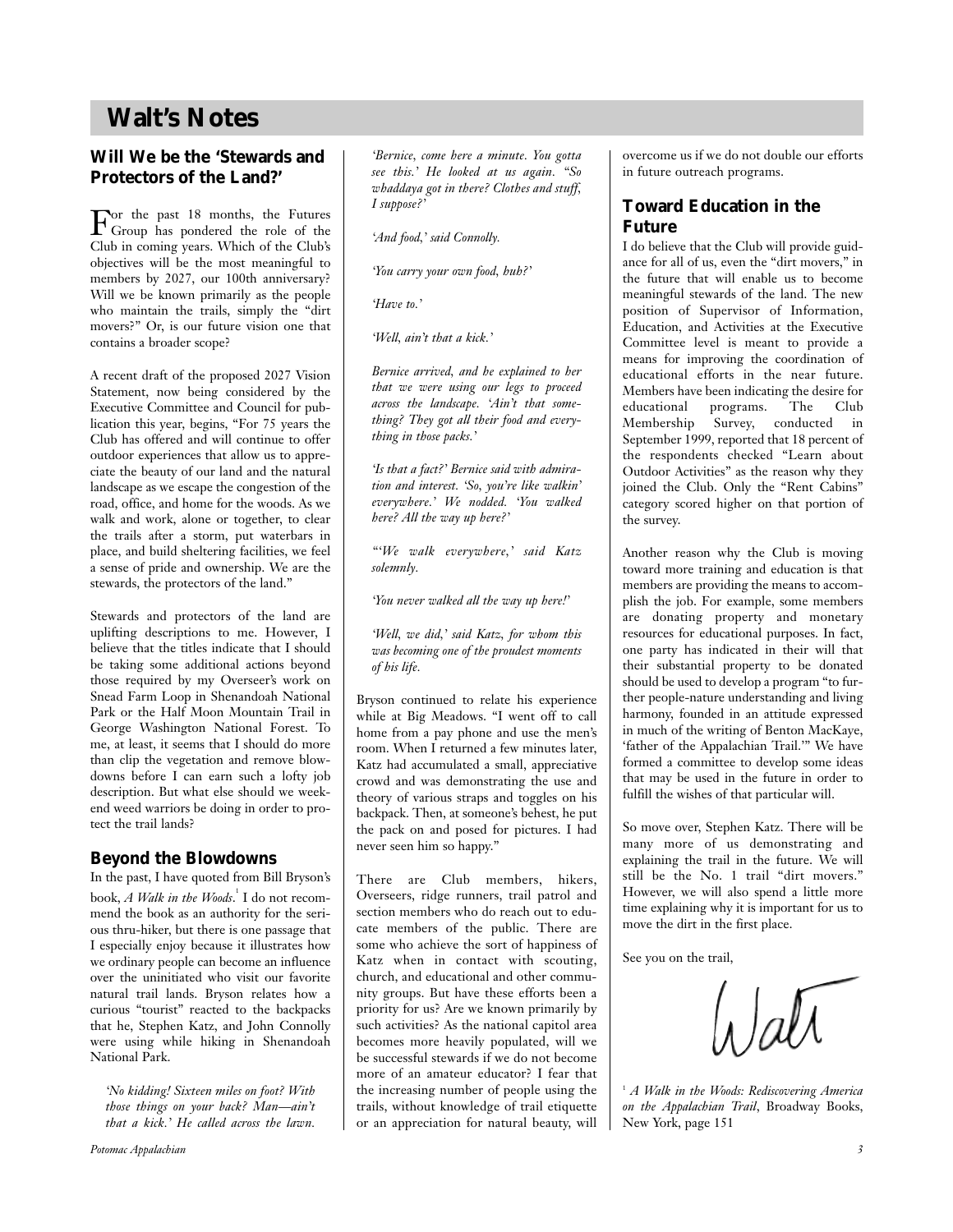## **Walt's Notes**

#### **Will We be the 'Stewards and Protectors of the Land?'**

For the past 18 months, the Futures<br>Group has pondered the role of the<br>Glad Clark Club in coming years. Which of the Club's objectives will be the most meaningful to members by 2027, our 100th anniversary? Will we be known primarily as the people who maintain the trails, simply the "dirt movers?" Or, is our future vision one that contains a broader scope?

A recent draft of the proposed 2027 Vision Statement, now being considered by the Executive Committee and Council for publication this year, begins, "For 75 years the Club has offered and will continue to offer outdoor experiences that allow us to appreciate the beauty of our land and the natural landscape as we escape the congestion of the road, office, and home for the woods. As we walk and work, alone or together, to clear the trails after a storm, put waterbars in place, and build sheltering facilities, we feel a sense of pride and ownership. We are the stewards, the protectors of the land."

Stewards and protectors of the land are uplifting descriptions to me. However, I believe that the titles indicate that I should be taking some additional actions beyond those required by my Overseer's work on Snead Farm Loop in Shenandoah National Park or the Half Moon Mountain Trail in George Washington National Forest. To me, at least, it seems that I should do more than clip the vegetation and remove blowdowns before I can earn such a lofty job description. But what else should we weekend weed warriors be doing in order to protect the trail lands?

#### **Beyond the Blowdowns**

In the past, I have quoted from Bill Bryson's book, *A Walk in the Woods*. 1 I do not recommend the book as an authority for the serious thru-hiker, but there is one passage that I especially enjoy because it illustrates how we ordinary people can become an influence over the uninitiated who visit our favorite natural trail lands. Bryson relates how a curious "tourist" reacted to the backpacks that he, Stephen Katz, and John Connolly were using while hiking in Shenandoah National Park.

*'No kidding! Sixteen miles on foot? With those things on your back? Man—ain't that a kick.' He called across the lawn.*

*Potomac Appalachian 3*

*'Bernice, come here a minute. You gotta see this.' He looked at us again. "So whaddaya got in there? Clothes and stuff, I suppose?'*

*'And food,' said Connolly.*

*'You carry your own food, huh?'*

*'Have to.'*

*'Well, ain't that a kick.'*

*Bernice arrived, and he explained to her that we were using our legs to proceed across the landscape. 'Ain't that something? They got all their food and everything in those packs.'*

*'Is that a fact?' Bernice said with admiration and interest. 'So, you're like walkin' everywhere.' We nodded. 'You walked here? All the way up here?'*

*"'We walk everywhere,' said Katz solemnly.*

*'You never walked all the way up here!'*

*'Well, we did,' said Katz, for whom this was becoming one of the proudest moments of his life.*

Bryson continued to relate his experience while at Big Meadows. "I went off to call home from a pay phone and use the men's room. When I returned a few minutes later, Katz had accumulated a small, appreciative crowd and was demonstrating the use and theory of various straps and toggles on his backpack. Then, at someone's behest, he put the pack on and posed for pictures. I had never seen him so happy."

There are Club members, hikers, Overseers, ridge runners, trail patrol and section members who do reach out to educate members of the public. There are some who achieve the sort of happiness of Katz when in contact with scouting, church, and educational and other community groups. But have these efforts been a priority for us? Are we known primarily by such activities? As the national capitol area becomes more heavily populated, will we be successful stewards if we do not become more of an amateur educator? I fear that the increasing number of people using the trails, without knowledge of trail etiquette or an appreciation for natural beauty, will overcome us if we do not double our efforts in future outreach programs.

#### **Toward Education in the Future**

I do believe that the Club will provide guidance for all of us, even the "dirt movers," in the future that will enable us to become meaningful stewards of the land. The new position of Supervisor of Information, Education, and Activities at the Executive Committee level is meant to provide a means for improving the coordination of educational efforts in the near future. Members have been indicating the desire for educational programs. The Club Membership Survey, conducted in September 1999, reported that 18 percent of the respondents checked "Learn about Outdoor Activities" as the reason why they joined the Club. Only the "Rent Cabins" category scored higher on that portion of the survey.

Another reason why the Club is moving toward more training and education is that members are providing the means to accomplish the job. For example, some members are donating property and monetary resources for educational purposes. In fact, one party has indicated in their will that their substantial property to be donated should be used to develop a program "to further people-nature understanding and living harmony, founded in an attitude expressed in much of the writing of Benton MacKaye, 'father of the Appalachian Trail.'" We have formed a committee to develop some ideas that may be used in the future in order to fulfill the wishes of that particular will.

So move over, Stephen Katz. There will be many more of us demonstrating and explaining the trail in the future. We will still be the No. 1 trail "dirt movers." However, we will also spend a little more time explaining why it is important for us to move the dirt in the first place.

See you on the trail,

<sup>1</sup> *A Walk in the Woods: Rediscovering America on the Appalachian Trail*, Broadway Books, New York, page 151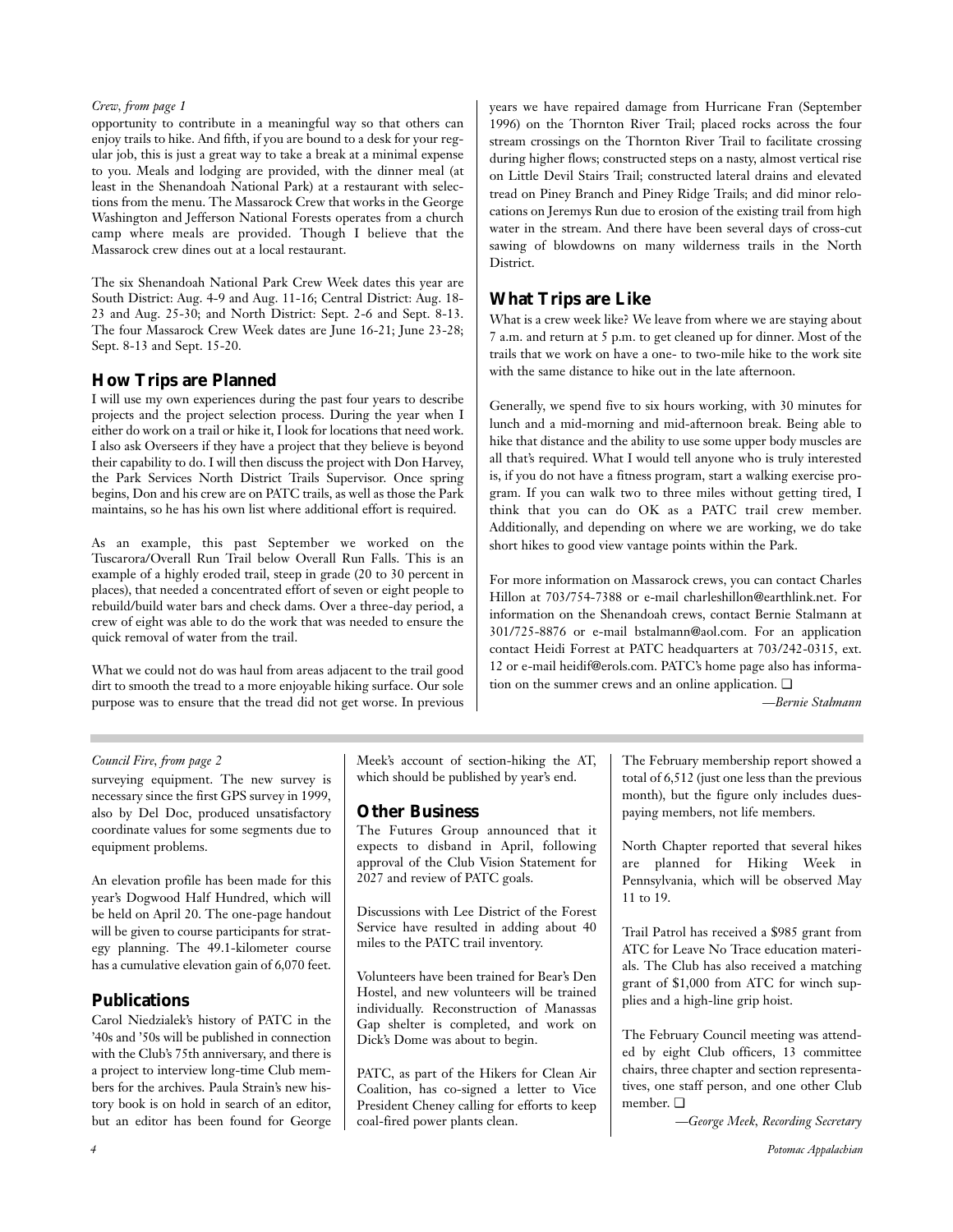#### *Crew, from page 1*

opportunity to contribute in a meaningful way so that others can enjoy trails to hike. And fifth, if you are bound to a desk for your regular job, this is just a great way to take a break at a minimal expense to you. Meals and lodging are provided, with the dinner meal (at least in the Shenandoah National Park) at a restaurant with selections from the menu. The Massarock Crew that works in the George Washington and Jefferson National Forests operates from a church camp where meals are provided. Though I believe that the Massarock crew dines out at a local restaurant.

The six Shenandoah National Park Crew Week dates this year are South District: Aug. 4-9 and Aug. 11-16; Central District: Aug. 18- 23 and Aug. 25-30; and North District: Sept. 2-6 and Sept. 8-13. The four Massarock Crew Week dates are June 16-21; June 23-28; Sept. 8-13 and Sept. 15-20.

#### **How Trips are Planned**

I will use my own experiences during the past four years to describe projects and the project selection process. During the year when I either do work on a trail or hike it, I look for locations that need work. I also ask Overseers if they have a project that they believe is beyond their capability to do. I will then discuss the project with Don Harvey, the Park Services North District Trails Supervisor. Once spring begins, Don and his crew are on PATC trails, as well as those the Park maintains, so he has his own list where additional effort is required.

As an example, this past September we worked on the Tuscarora/Overall Run Trail below Overall Run Falls. This is an example of a highly eroded trail, steep in grade (20 to 30 percent in places), that needed a concentrated effort of seven or eight people to rebuild/build water bars and check dams. Over a three-day period, a crew of eight was able to do the work that was needed to ensure the quick removal of water from the trail.

What we could not do was haul from areas adjacent to the trail good dirt to smooth the tread to a more enjoyable hiking surface. Our sole purpose was to ensure that the tread did not get worse. In previous years we have repaired damage from Hurricane Fran (September 1996) on the Thornton River Trail; placed rocks across the four stream crossings on the Thornton River Trail to facilitate crossing during higher flows; constructed steps on a nasty, almost vertical rise on Little Devil Stairs Trail; constructed lateral drains and elevated tread on Piney Branch and Piney Ridge Trails; and did minor relocations on Jeremys Run due to erosion of the existing trail from high water in the stream. And there have been several days of cross-cut sawing of blowdowns on many wilderness trails in the North District.

#### **What Trips are Like**

What is a crew week like? We leave from where we are staying about 7 a.m. and return at 5 p.m. to get cleaned up for dinner. Most of the trails that we work on have a one- to two-mile hike to the work site with the same distance to hike out in the late afternoon.

Generally, we spend five to six hours working, with 30 minutes for lunch and a mid-morning and mid-afternoon break. Being able to hike that distance and the ability to use some upper body muscles are all that's required. What I would tell anyone who is truly interested is, if you do not have a fitness program, start a walking exercise program. If you can walk two to three miles without getting tired, I think that you can do OK as a PATC trail crew member. Additionally, and depending on where we are working, we do take short hikes to good view vantage points within the Park.

For more information on Massarock crews, you can contact Charles Hillon at 703/754-7388 or e-mail charleshillon@earthlink.net. For information on the Shenandoah crews, contact Bernie Stalmann at 301/725-8876 or e-mail bstalmann@aol.com. For an application contact Heidi Forrest at PATC headquarters at 703/242-0315, ext. 12 or e-mail heidif@erols.com. PATC's home page also has information on the summer crews and an online application. ❏

*—Bernie Stalmann*

#### *Council Fire, from page 2*

surveying equipment. The new survey is necessary since the first GPS survey in 1999, also by Del Doc, produced unsatisfactory coordinate values for some segments due to equipment problems.

An elevation profile has been made for this year's Dogwood Half Hundred, which will be held on April 20. The one-page handout will be given to course participants for strategy planning. The 49.1-kilometer course has a cumulative elevation gain of 6,070 feet.

#### **Publications**

Carol Niedzialek's history of PATC in the '40s and '50s will be published in connection with the Club's 75th anniversary, and there is a project to interview long-time Club members for the archives. Paula Strain's new history book is on hold in search of an editor, but an editor has been found for George Meek's account of section-hiking the AT, which should be published by year's end.

#### **Other Business**

The Futures Group announced that it expects to disband in April, following approval of the Club Vision Statement for 2027 and review of PATC goals.

Discussions with Lee District of the Forest Service have resulted in adding about 40 miles to the PATC trail inventory.

Volunteers have been trained for Bear's Den Hostel, and new volunteers will be trained individually. Reconstruction of Manassas Gap shelter is completed, and work on Dick's Dome was about to begin.

PATC, as part of the Hikers for Clean Air Coalition, has co-signed a letter to Vice President Cheney calling for efforts to keep coal-fired power plants clean.

The February membership report showed a total of 6,512 (just one less than the previous month), but the figure only includes duespaying members, not life members.

North Chapter reported that several hikes are planned for Hiking Week in Pennsylvania, which will be observed May 11 to 19.

Trail Patrol has received a \$985 grant from ATC for Leave No Trace education materials. The Club has also received a matching grant of \$1,000 from ATC for winch supplies and a high-line grip hoist.

The February Council meeting was attended by eight Club officers, 13 committee chairs, three chapter and section representatives, one staff person, and one other Club member. ❏

*—George Meek, Recording Secretary*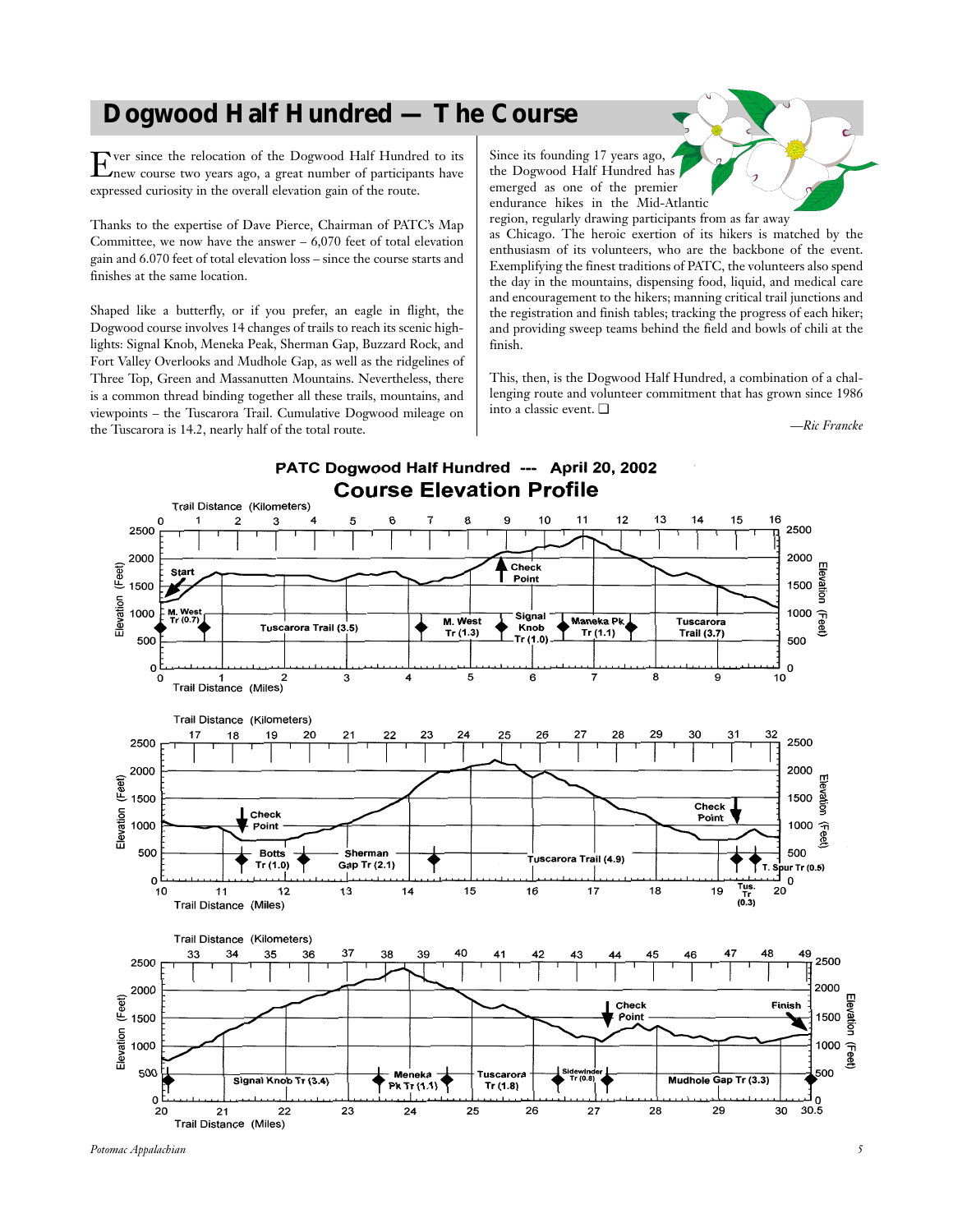# **Dogwood Half Hundred — The Course**

Ever since the relocation of the Dogwood Half Hundred to its new course two years ago, a great number of participants have expressed curiosity in the overall elevation gain of the route.

Thanks to the expertise of Dave Pierce, Chairman of PATC's Map Committee, we now have the answer  $-6,070$  feet of total elevation gain and 6.070 feet of total elevation loss – since the course starts and finishes at the same location.

Shaped like a butterfly, or if you prefer, an eagle in flight, the Dogwood course involves 14 changes of trails to reach its scenic highlights: Signal Knob, Meneka Peak, Sherman Gap, Buzzard Rock, and Fort Valley Overlooks and Mudhole Gap, as well as the ridgelines of Three Top, Green and Massanutten Mountains. Nevertheless, there is a common thread binding together all these trails, mountains, and viewpoints – the Tuscarora Trail. Cumulative Dogwood mileage on the Tuscarora is 14.2, nearly half of the total route.

Since its founding 17 years ago, the Dogwood Half Hundred has emerged as one of the premier endurance hikes in the Mid-Atlantic region, regularly drawing participants from as far away

as Chicago. The heroic exertion of its hikers is matched by the enthusiasm of its volunteers, who are the backbone of the event. Exemplifying the finest traditions of PATC, the volunteers also spend the day in the mountains, dispensing food, liquid, and medical care and encouragement to the hikers; manning critical trail junctions and the registration and finish tables; tracking the progress of each hiker; and providing sweep teams behind the field and bowls of chili at the finish.

This, then, is the Dogwood Half Hundred, a combination of a challenging route and volunteer commitment that has grown since 1986 into a classic event. ❏

*—Ric Francke*

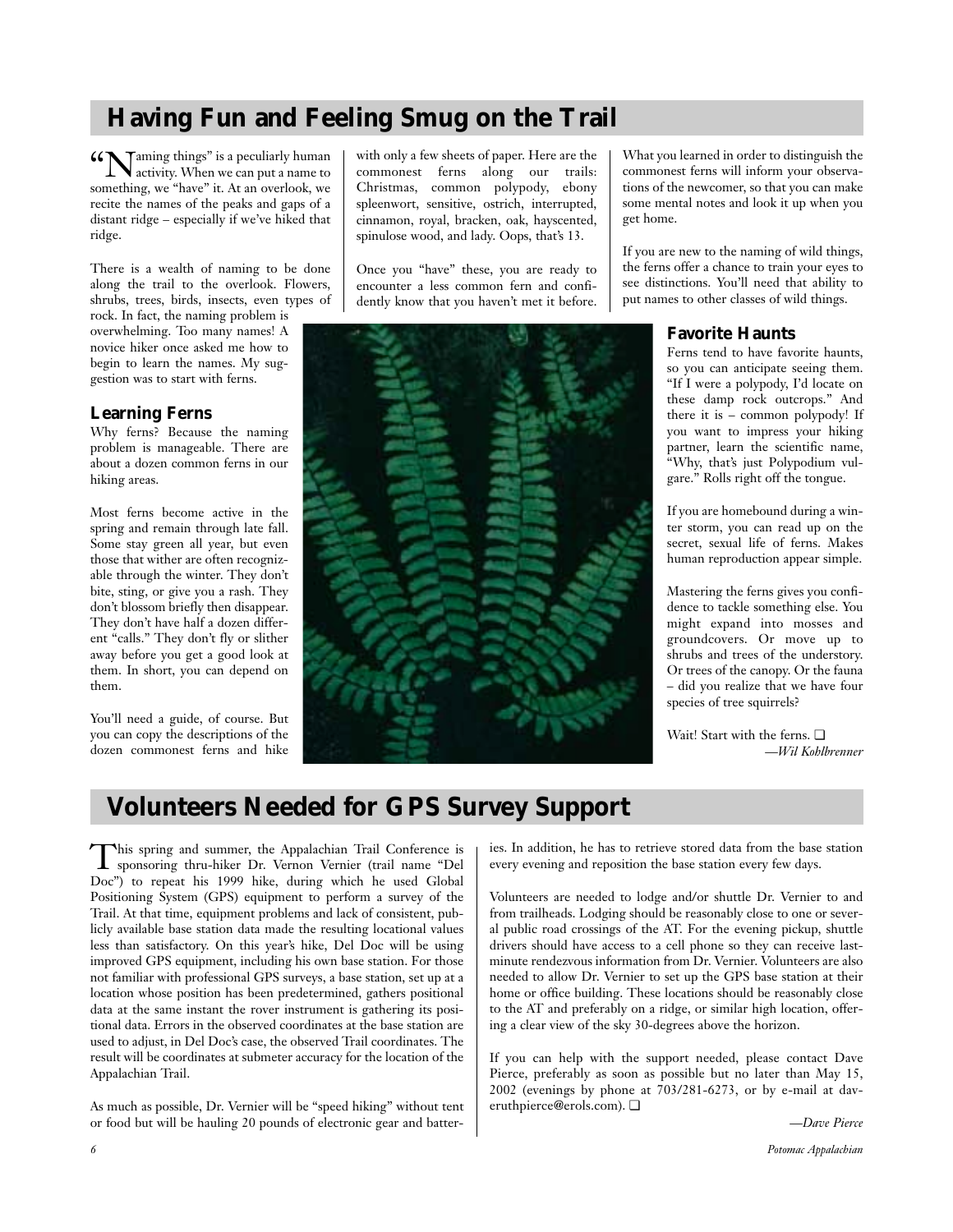# **Having Fun and Feeling Smug on the Trail**

**"**  $\sum_{\text{activity}}$  Naming things" is a peculiarly human to activity. When we can put a name to something, we "have" it. At an overlook, we recite the names of the peaks and gaps of a distant ridge – especially if we've hiked that ridge.

There is a wealth of naming to be done along the trail to the overlook. Flowers, shrubs, trees, birds, insects, even types of

rock. In fact, the naming problem is overwhelming. Too many names! A novice hiker once asked me how to begin to learn the names. My suggestion was to start with ferns.

#### **Learning Ferns**

Why ferns? Because the naming problem is manageable. There are about a dozen common ferns in our hiking areas.

Most ferns become active in the spring and remain through late fall. Some stay green all year, but even those that wither are often recognizable through the winter. They don't bite, sting, or give you a rash. They don't blossom briefly then disappear. They don't have half a dozen different "calls." They don't fly or slither away before you get a good look at them. In short, you can depend on them.

You'll need a guide, of course. But you can copy the descriptions of the dozen commonest ferns and hike

with only a few sheets of paper. Here are the commonest ferns along our trails: Christmas, common polypody, ebony spleenwort, sensitive, ostrich, interrupted, cinnamon, royal, bracken, oak, hayscented, spinulose wood, and lady. Oops, that's 13.

Once you "have" these, you are ready to encounter a less common fern and confidently know that you haven't met it before.



What you learned in order to distinguish the commonest ferns will inform your observations of the newcomer, so that you can make some mental notes and look it up when you get home.

If you are new to the naming of wild things, the ferns offer a chance to train your eyes to see distinctions. You'll need that ability to put names to other classes of wild things.

#### **Favorite Haunts**

Ferns tend to have favorite haunts, so you can anticipate seeing them. "If I were a polypody, I'd locate on these damp rock outcrops." And there it is – common polypody! If you want to impress your hiking partner, learn the scientific name, "Why, that's just Polypodium vulgare." Rolls right off the tongue.

If you are homebound during a winter storm, you can read up on the secret, sexual life of ferns. Makes human reproduction appear simple.

Mastering the ferns gives you confidence to tackle something else. You might expand into mosses and groundcovers. Or move up to shrubs and trees of the understory. Or trees of the canopy. Or the fauna – did you realize that we have four species of tree squirrels?

Wait! Start with the ferns. ❏ *—Wil Kohlbrenner*

# **Volunteers Needed for GPS Survey Support**

This spring and summer, the Appalachian Trail Conference is sponsoring thru-hiker Dr. Vernon Vernier (trail name "Del Doc") to repeat his 1999 hike, during which he used Global Positioning System (GPS) equipment to perform a survey of the Trail. At that time, equipment problems and lack of consistent, publicly available base station data made the resulting locational values less than satisfactory. On this year's hike, Del Doc will be using improved GPS equipment, including his own base station. For those not familiar with professional GPS surveys, a base station, set up at a location whose position has been predetermined, gathers positional data at the same instant the rover instrument is gathering its positional data. Errors in the observed coordinates at the base station are used to adjust, in Del Doc's case, the observed Trail coordinates. The result will be coordinates at submeter accuracy for the location of the Appalachian Trail.

As much as possible, Dr. Vernier will be "speed hiking" without tent or food but will be hauling 20 pounds of electronic gear and batteries. In addition, he has to retrieve stored data from the base station every evening and reposition the base station every few days.

Volunteers are needed to lodge and/or shuttle Dr. Vernier to and from trailheads. Lodging should be reasonably close to one or several public road crossings of the AT. For the evening pickup, shuttle drivers should have access to a cell phone so they can receive lastminute rendezvous information from Dr. Vernier. Volunteers are also needed to allow Dr. Vernier to set up the GPS base station at their home or office building. These locations should be reasonably close to the AT and preferably on a ridge, or similar high location, offering a clear view of the sky 30-degrees above the horizon.

If you can help with the support needed, please contact Dave Pierce, preferably as soon as possible but no later than May 15, 2002 (evenings by phone at 703/281-6273, or by e-mail at daveruthpierce@erols.com). ❏

*—Dave Pierce*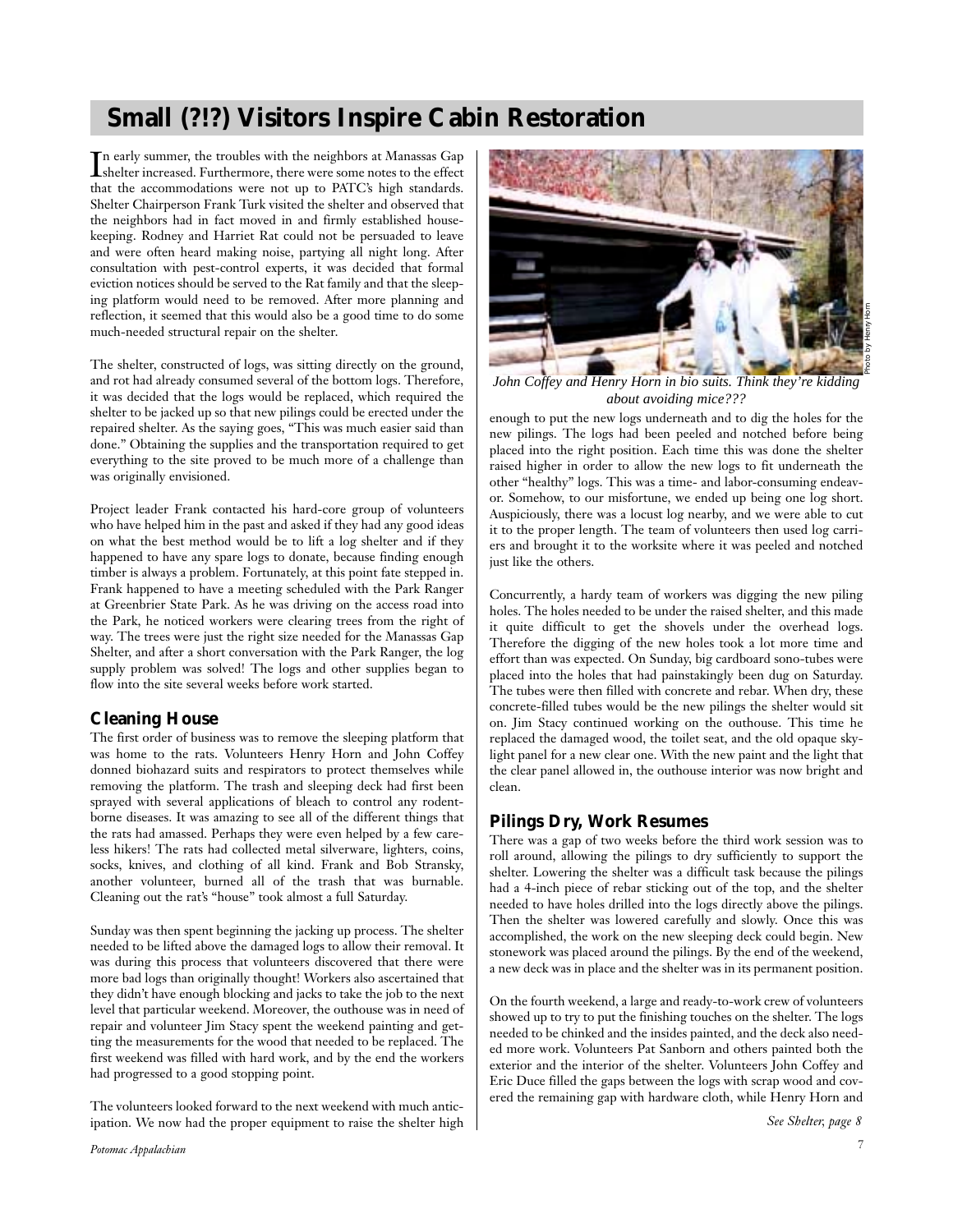# **Small (?!?) Visitors Inspire Cabin Restoration**

In early summer, the troubles with the neighbors at Manassas Gap<br>shelter increased. Furthermore, there were some notes to the effect shelter increased. Furthermore, there were some notes to the effect that the accommodations were not up to PATC's high standards. Shelter Chairperson Frank Turk visited the shelter and observed that the neighbors had in fact moved in and firmly established housekeeping. Rodney and Harriet Rat could not be persuaded to leave and were often heard making noise, partying all night long. After consultation with pest-control experts, it was decided that formal eviction notices should be served to the Rat family and that the sleeping platform would need to be removed. After more planning and reflection, it seemed that this would also be a good time to do some much-needed structural repair on the shelter.

The shelter, constructed of logs, was sitting directly on the ground, and rot had already consumed several of the bottom logs. Therefore, it was decided that the logs would be replaced, which required the shelter to be jacked up so that new pilings could be erected under the repaired shelter. As the saying goes, "This was much easier said than done." Obtaining the supplies and the transportation required to get everything to the site proved to be much more of a challenge than was originally envisioned.

Project leader Frank contacted his hard-core group of volunteers who have helped him in the past and asked if they had any good ideas on what the best method would be to lift a log shelter and if they happened to have any spare logs to donate, because finding enough timber is always a problem. Fortunately, at this point fate stepped in. Frank happened to have a meeting scheduled with the Park Ranger at Greenbrier State Park. As he was driving on the access road into the Park, he noticed workers were clearing trees from the right of way. The trees were just the right size needed for the Manassas Gap Shelter, and after a short conversation with the Park Ranger, the log supply problem was solved! The logs and other supplies began to flow into the site several weeks before work started.

#### **Cleaning House**

The first order of business was to remove the sleeping platform that was home to the rats. Volunteers Henry Horn and John Coffey donned biohazard suits and respirators to protect themselves while removing the platform. The trash and sleeping deck had first been sprayed with several applications of bleach to control any rodentborne diseases. It was amazing to see all of the different things that the rats had amassed. Perhaps they were even helped by a few careless hikers! The rats had collected metal silverware, lighters, coins, socks, knives, and clothing of all kind. Frank and Bob Stransky, another volunteer, burned all of the trash that was burnable. Cleaning out the rat's "house" took almost a full Saturday.

Sunday was then spent beginning the jacking up process. The shelter needed to be lifted above the damaged logs to allow their removal. It was during this process that volunteers discovered that there were more bad logs than originally thought! Workers also ascertained that they didn't have enough blocking and jacks to take the job to the next level that particular weekend. Moreover, the outhouse was in need of repair and volunteer Jim Stacy spent the weekend painting and getting the measurements for the wood that needed to be replaced. The first weekend was filled with hard work, and by the end the workers had progressed to a good stopping point.

The volunteers looked forward to the next weekend with much anticipation. We now had the proper equipment to raise the shelter high



*John Coffey and Henry Horn in bio suits. Think they're kidding about avoiding mice???*

enough to put the new logs underneath and to dig the holes for the new pilings. The logs had been peeled and notched before being placed into the right position. Each time this was done the shelter raised higher in order to allow the new logs to fit underneath the other "healthy" logs. This was a time- and labor-consuming endeavor. Somehow, to our misfortune, we ended up being one log short. Auspiciously, there was a locust log nearby, and we were able to cut it to the proper length. The team of volunteers then used log carriers and brought it to the worksite where it was peeled and notched just like the others.

Concurrently, a hardy team of workers was digging the new piling holes. The holes needed to be under the raised shelter, and this made it quite difficult to get the shovels under the overhead logs. Therefore the digging of the new holes took a lot more time and effort than was expected. On Sunday, big cardboard sono-tubes were placed into the holes that had painstakingly been dug on Saturday. The tubes were then filled with concrete and rebar. When dry, these concrete-filled tubes would be the new pilings the shelter would sit on. Jim Stacy continued working on the outhouse. This time he replaced the damaged wood, the toilet seat, and the old opaque skylight panel for a new clear one. With the new paint and the light that the clear panel allowed in, the outhouse interior was now bright and clean.

#### **Pilings Dry, Work Resumes**

There was a gap of two weeks before the third work session was to roll around, allowing the pilings to dry sufficiently to support the shelter. Lowering the shelter was a difficult task because the pilings had a 4-inch piece of rebar sticking out of the top, and the shelter needed to have holes drilled into the logs directly above the pilings. Then the shelter was lowered carefully and slowly. Once this was accomplished, the work on the new sleeping deck could begin. New stonework was placed around the pilings. By the end of the weekend, a new deck was in place and the shelter was in its permanent position.

On the fourth weekend, a large and ready-to-work crew of volunteers showed up to try to put the finishing touches on the shelter. The logs needed to be chinked and the insides painted, and the deck also needed more work. Volunteers Pat Sanborn and others painted both the exterior and the interior of the shelter. Volunteers John Coffey and Eric Duce filled the gaps between the logs with scrap wood and covered the remaining gap with hardware cloth, while Henry Horn and

*See Shelter, page 8*

Photo by Henry Horn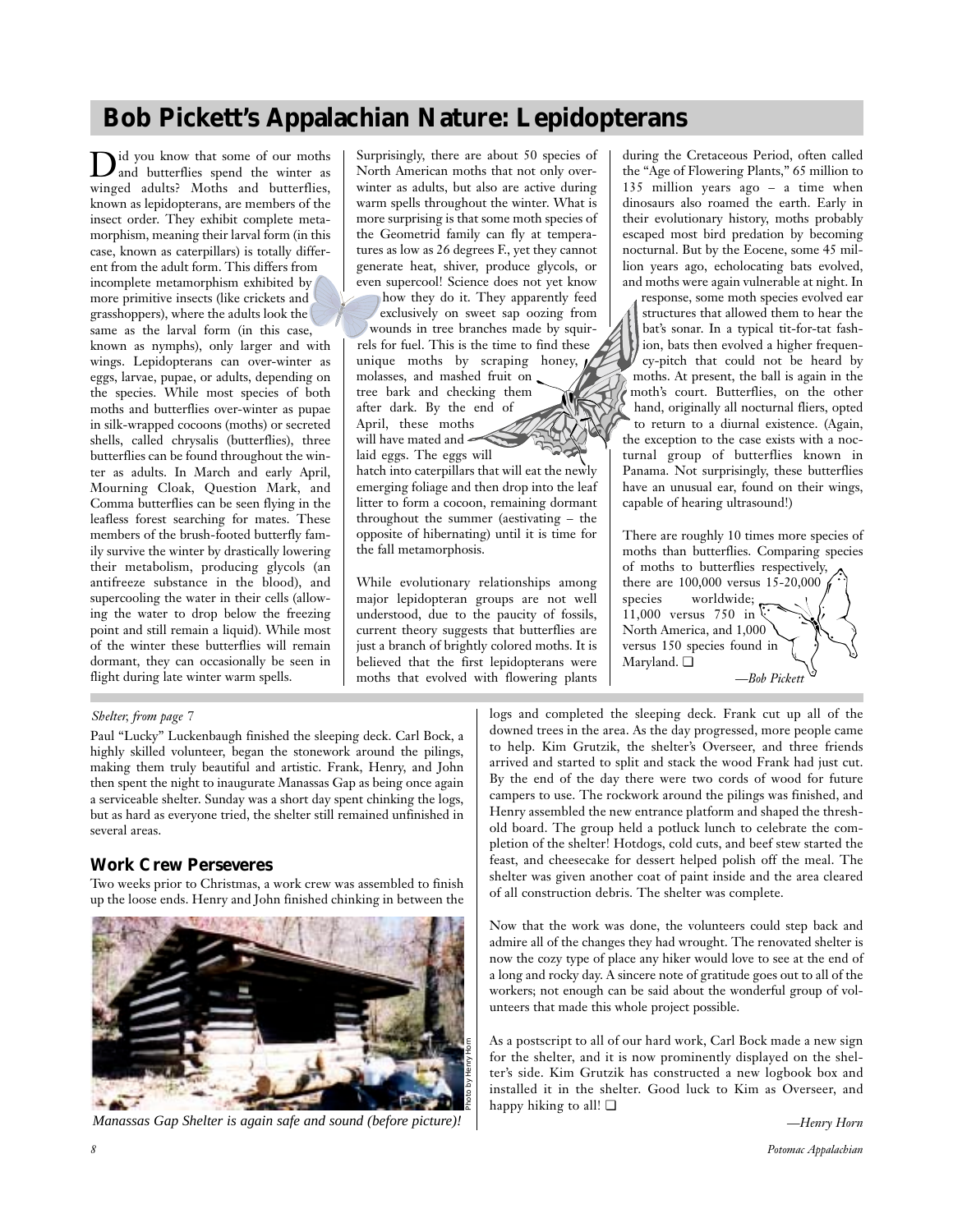# **Bob Pickett's Appalachian Nature: Lepidopterans**

Did you know that some of our moths and butterflies spend the winter as winged adults? Moths and butterflies, known as lepidopterans, are members of the insect order. They exhibit complete metamorphism, meaning their larval form (in this case, known as caterpillars) is totally different from the adult form. This differs from incomplete metamorphism exhibited by more primitive insects (like crickets and grasshoppers), where the adults look the same as the larval form (in this case, known as nymphs), only larger and with wings. Lepidopterans can over-winter as eggs, larvae, pupae, or adults, depending on the species. While most species of both

moths and butterflies over-winter as pupae in silk-wrapped cocoons (moths) or secreted shells, called chrysalis (butterflies), three butterflies can be found throughout the winter as adults. In March and early April, Mourning Cloak, Question Mark, and Comma butterflies can be seen flying in the leafless forest searching for mates. These members of the brush-footed butterfly family survive the winter by drastically lowering their metabolism, producing glycols (an antifreeze substance in the blood), and supercooling the water in their cells (allowing the water to drop below the freezing point and still remain a liquid). While most of the winter these butterflies will remain dormant, they can occasionally be seen in flight during late winter warm spells.

Surprisingly, there are about 50 species of North American moths that not only overwinter as adults, but also are active during warm spells throughout the winter. What is more surprising is that some moth species of the Geometrid family can fly at temperatures as low as 26 degrees F., yet they cannot generate heat, shiver, produce glycols, or even supercool! Science does not yet know

how they do it. They apparently feed exclusively on sweet sap oozing from wounds in tree branches made by squirrels for fuel. This is the time to find these unique moths by scraping honey, molasses, and mashed fruit on tree bark and checking them after dark. By the end of April, these moths will have mated and

laid eggs. The eggs will hatch into caterpillars that will eat the newly emerging foliage and then drop into the leaf litter to form a cocoon, remaining dormant throughout the summer (aestivating – the opposite of hibernating) until it is time for the fall metamorphosis.

While evolutionary relationships among major lepidopteran groups are not well understood, due to the paucity of fossils, current theory suggests that butterflies are just a branch of brightly colored moths. It is believed that the first lepidopterans were moths that evolved with flowering plants during the Cretaceous Period, often called the "Age of Flowering Plants," 65 million to 135 million years ago – a time when dinosaurs also roamed the earth. Early in their evolutionary history, moths probably escaped most bird predation by becoming nocturnal. But by the Eocene, some 45 million years ago, echolocating bats evolved, and moths were again vulnerable at night. In

response, some moth species evolved ear structures that allowed them to hear the bat's sonar. In a typical tit-for-tat fashion, bats then evolved a higher frequency-pitch that could not be heard by moths. At present, the ball is again in the moth's court. Butterflies, on the other hand, originally all nocturnal fliers, opted to return to a diurnal existence. (Again, the exception to the case exists with a nocturnal group of butterflies known in Panama. Not surprisingly, these butterflies have an unusual ear, found on their wings, capable of hearing ultrasound!)

There are roughly 10 times more species of moths than butterflies. Comparing species of moths to butterflies respectively, there are 100,000 versus 15-20,000 species worldwide; 11,000 versus 750 in North America, and 1,000 versus 150 species found in Maryland. ❏ *—Bob Pickett*

#### *Shelter, from page 7*

Paul "Lucky" Luckenbaugh finished the sleeping deck. Carl Bock, a highly skilled volunteer, began the stonework around the pilings, making them truly beautiful and artistic. Frank, Henry, and John then spent the night to inaugurate Manassas Gap as being once again a serviceable shelter. Sunday was a short day spent chinking the logs, but as hard as everyone tried, the shelter still remained unfinished in several areas.

#### **Work Crew Perseveres**

Two weeks prior to Christmas, a work crew was assembled to finish up the loose ends. Henry and John finished chinking in between the



*Manassas Gap Shelter is again safe and sound (before picture)!*

logs and completed the sleeping deck. Frank cut up all of the downed trees in the area. As the day progressed, more people came to help. Kim Grutzik, the shelter's Overseer, and three friends arrived and started to split and stack the wood Frank had just cut. By the end of the day there were two cords of wood for future campers to use. The rockwork around the pilings was finished, and Henry assembled the new entrance platform and shaped the threshold board. The group held a potluck lunch to celebrate the completion of the shelter! Hotdogs, cold cuts, and beef stew started the feast, and cheesecake for dessert helped polish off the meal. The shelter was given another coat of paint inside and the area cleared of all construction debris. The shelter was complete.

Now that the work was done, the volunteers could step back and admire all of the changes they had wrought. The renovated shelter is now the cozy type of place any hiker would love to see at the end of a long and rocky day. A sincere note of gratitude goes out to all of the workers; not enough can be said about the wonderful group of volunteers that made this whole project possible.

As a postscript to all of our hard work, Carl Bock made a new sign for the shelter, and it is now prominently displayed on the shelter's side. Kim Grutzik has constructed a new logbook box and installed it in the shelter. Good luck to Kim as Overseer, and happy hiking to all! ❏

*—Henry Horn*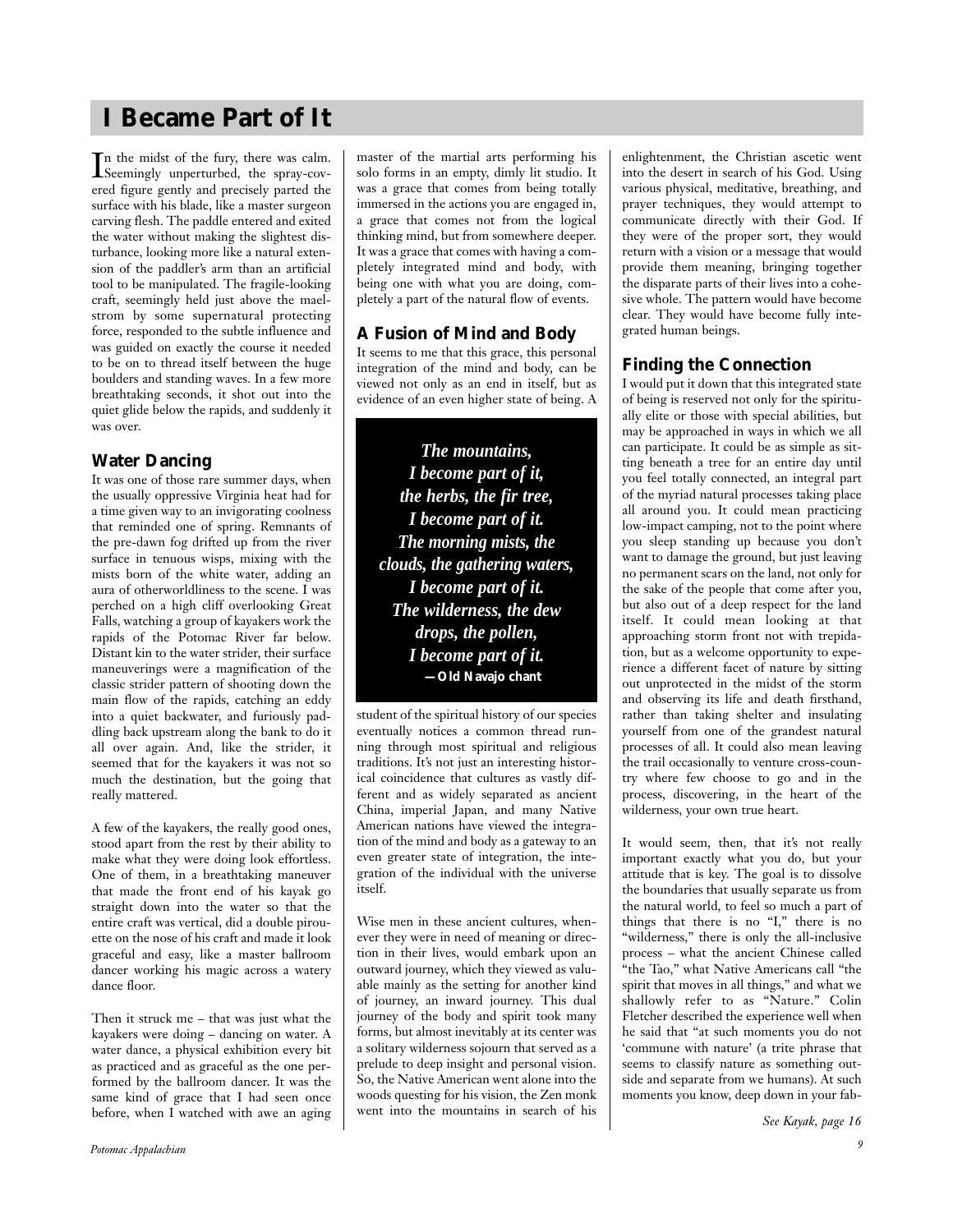# **I Became Part of It**

In the midst of the fury, there was calm.<br>Seemingly unperturbed, the spray-cov-Seemingly unperturbed, the spray-covered figure gently and precisely parted the surface with his blade, like a master surgeon carving flesh. The paddle entered and exited the water without making the slightest disturbance, looking more like a natural extension of the paddler's arm than an artificial tool to be manipulated. The fragile-looking craft, seemingly held just above the maelstrom by some supernatural protecting force, responded to the subtle influence and was guided on exactly the course it needed to be on to thread itself between the huge boulders and standing waves. In a few more breathtaking seconds, it shot out into the quiet glide below the rapids, and suddenly it was over.

### **Water Dancing**

It was one of those rare summer days, when the usually oppressive Virginia heat had for a time given way to an invigorating coolness that reminded one of spring. Remnants of the pre-dawn fog drifted up from the river surface in tenuous wisps, mixing with the mists born of the white water, adding an aura of otherworldliness to the scene. I was perched on a high cliff overlooking Great Falls, watching a group of kayakers work the rapids of the Potomac River far below. Distant kin to the water strider, their surface maneuverings were a magnification of the classic strider pattern of shooting down the main flow of the rapids, catching an eddy into a quiet backwater, and furiously paddling back upstream along the bank to do it all over again. And, like the strider, it seemed that for the kayakers it was not so much the destination, but the going that really mattered.

A few of the kayakers, the really good ones, stood apart from the rest by their ability to make what they were doing look effortless. One of them, in a breathtaking maneuver that made the front end of his kayak go straight down into the water so that the entire craft was vertical, did a double pirouette on the nose of his craft and made it look graceful and easy, like a master ballroom dancer working his magic across a watery dance floor.

Then it struck me – that was just what the kayakers were doing – dancing on water. A water dance, a physical exhibition every bit as practiced and as graceful as the one performed by the ballroom dancer. It was the same kind of grace that I had seen once before, when I watched with awe an aging master of the martial arts performing his solo forms in an empty, dimly lit studio. It was a grace that comes from being totally immersed in the actions you are engaged in, a grace that comes not from the logical thinking mind, but from somewhere deeper. It was a grace that comes with having a completely integrated mind and body, with being one with what you are doing, completely a part of the natural flow of events.

### **A Fusion of Mind and Body**

It seems to me that this grace, this personal integration of the mind and body, can be viewed not only as an end in itself, but as evidence of an even higher state of being. A

*The mountains, I become part of it, the herbs, the fir tree, I become part of it. The morning mists, the clouds, the gathering waters, I become part of it. The wilderness, the dew drops, the pollen, I become part of it.* **—Old Navajo chant**

student of the spiritual history of our species eventually notices a common thread running through most spiritual and religious traditions. It's not just an interesting historical coincidence that cultures as vastly different and as widely separated as ancient China, imperial Japan, and many Native American nations have viewed the integration of the mind and body as a gateway to an even greater state of integration, the integration of the individual with the universe itself.

Wise men in these ancient cultures, whenever they were in need of meaning or direction in their lives, would embark upon an outward journey, which they viewed as valuable mainly as the setting for another kind of journey, an inward journey. This dual journey of the body and spirit took many forms, but almost inevitably at its center was a solitary wilderness sojourn that served as a prelude to deep insight and personal vision. So, the Native American went alone into the woods questing for his vision, the Zen monk went into the mountains in search of his enlightenment, the Christian ascetic went into the desert in search of his God. Using various physical, meditative, breathing, and prayer techniques, they would attempt to communicate directly with their God. If they were of the proper sort, they would return with a vision or a message that would provide them meaning, bringing together the disparate parts of their lives into a cohesive whole. The pattern would have become clear. They would have become fully integrated human beings.

### **Finding the Connection**

I would put it down that this integrated state of being is reserved not only for the spiritually elite or those with special abilities, but may be approached in ways in which we all can participate. It could be as simple as sitting beneath a tree for an entire day until you feel totally connected, an integral part of the myriad natural processes taking place all around you. It could mean practicing low-impact camping, not to the point where you sleep standing up because you don't want to damage the ground, but just leaving no permanent scars on the land, not only for the sake of the people that come after you, but also out of a deep respect for the land itself. It could mean looking at that approaching storm front not with trepidation, but as a welcome opportunity to experience a different facet of nature by sitting out unprotected in the midst of the storm and observing its life and death firsthand, rather than taking shelter and insulating yourself from one of the grandest natural processes of all. It could also mean leaving the trail occasionally to venture cross-country where few choose to go and in the process, discovering, in the heart of the wilderness, your own true heart.

It would seem, then, that it's not really important exactly what you do, but your attitude that is key. The goal is to dissolve the boundaries that usually separate us from the natural world, to feel so much a part of things that there is no "I," there is no "wilderness," there is only the all-inclusive process – what the ancient Chinese called "the Tao," what Native Americans call "the spirit that moves in all things," and what we shallowly refer to as "Nature." Colin Fletcher described the experience well when he said that "at such moments you do not 'commune with nature' (a trite phrase that seems to classify nature as something outside and separate from we humans). At such moments you know, deep down in your fab-

*See Kayak, page 16*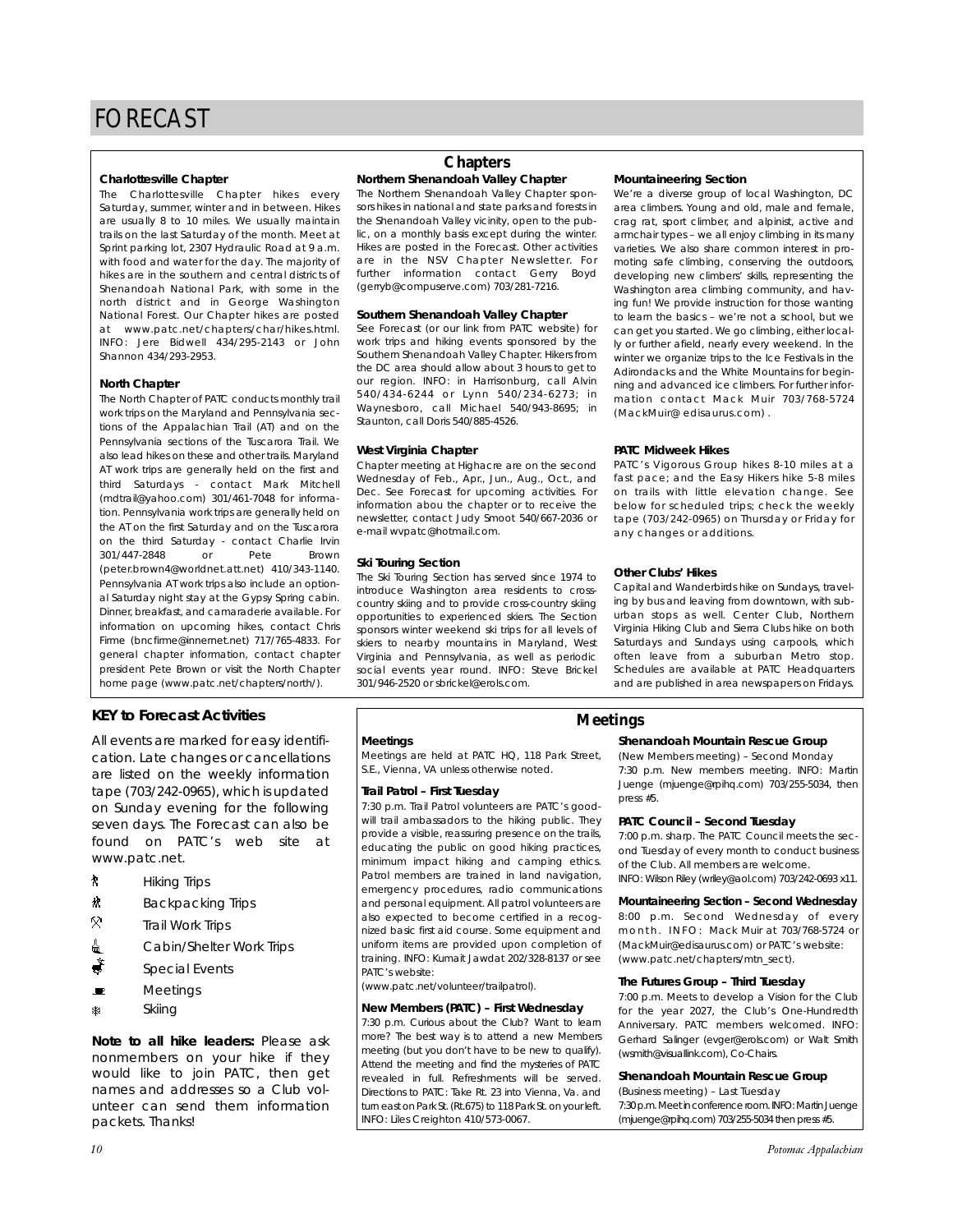#### **Charlottesville Chapter**

The Charlottesville Chapter hikes every Saturday, summer, winter and in between. Hikes are usually 8 to 10 miles. We usually maintain trails on the last Saturday of the month. Meet at Sprint parking lot, 2307 Hydraulic Road at 9 a.m. with food and water for the day. The majority of hikes are in the southern and central districts of Shenandoah National Park, with some in the north district and in George Washington National Forest. Our Chapter hikes are posted at www.patc.net/chapters/char/hikes.html. INFO: Jere Bidwell 434/295-2143 or John Shannon 434/293-2953.

#### **North Chapter**

The North Chapter of PATC conducts monthly trail work trips on the Maryland and Pennsylvania sections of the Appalachian Trail (AT) and on the Pennsylvania sections of the Tuscarora Trail. We also lead hikes on these and other trails. Maryland AT work trips are generally held on the first and third Saturdays - contact Mark Mitchell (mdtrail@yahoo.com) 301/461-7048 for information. Pennsylvania work trips are generally held on the AT on the first Saturday and on the Tuscarora on the third Saturday - contact Charlie Irvin 301/447-2848 or Pete Brown (peter.brown4@worldnet.att.net) 410/343-1140. Pennsylvania AT work trips also include an optional Saturday night stay at the Gypsy Spring cabin. Dinner, breakfast, and camaraderie available. For information on upcoming hikes, contact Chris Firme (bncfirme@innernet.net) 717/765-4833. For general chapter information, contact chapter president Pete Brown or visit the North Chapter home page (www.patc.net/chapters/north/).

#### **KEY to Forecast Activities**

All events are marked for easy identification. Late changes or cancellations are listed on the weekly information tape (703/242-0965), which is updated on Sunday evening for the following seven days. The Forecast can also be found on PATC's web site at www.patc.net.

- ` Hiking Trips
- **林** Backpacking Trips
- Q. Trail Work Trips
- <u>d</u> Cabin/Shelter Work Trips
- $\stackrel{*}{\bullet}$  Special Events
- $\blacksquare$  Meetings
- ASkiing

*Note to all hike leaders:* Please ask nonmembers on your hike if they would like to join PATC, then get names and addresses so a Club volunteer can send them information packets. Thanks!

#### **Northern Shenandoah Valley Chapter Chapters**

The Northern Shenandoah Valley Chapter sponsors hikes in national and state parks and forests in the Shenandoah Valley vicinity, open to the public, on a monthly basis except during the winter. Hikes are posted in the Forecast. Other activities are in the NSV Chapter Newsletter. For further information contact Gerry Boyd (gerryb@compuserve.com) 703/281-7216.

#### **Southern Shenandoah Valley Chapter**

See Forecast (or our link from PATC website) for work trips and hiking events sponsored by the Southern Shenandoah Valley Chapter. Hikers from the DC area should allow about 3 hours to get to our region. INFO: in Harrisonburg, call Alvin 540/434-6244 or Lynn 540/234-6273; in Waynesboro, call Michael 540/943-8695; in Staunton, call Doris 540/885-4526.

#### **West Virginia Chapter**

Chapter meeting at Highacre are on the second Wednesday of Feb., Apr., Jun., Aug., Oct., and Dec. See Forecast for upcoming activities. For information abou the chapter or to receive the newsletter, contact Judy Smoot 540/667-2036 or e-mail wvpatc@hotmail.com.

#### **Ski Touring Section**

The Ski Touring Section has served since 1974 to introduce Washington area residents to crosscountry skiing and to provide cross-country skiing opportunities to experienced skiers. The Section sponsors winter weekend ski trips for all levels of skiers to nearby mountains in Maryland, West Virginia and Pennsylvania, as well as periodic social events year round. INFO: Steve Brickel 301/946-2520 or sbrickel@erols.com.

#### **Mountaineering Section**

We're a diverse group of local Washington, DC area climbers. Young and old, male and female, crag rat, sport climber, and alpinist, active and armchair types – we all enjoy climbing in its many varieties. We also share common interest in promoting safe climbing, conserving the outdoors, developing new climbers' skills, representing the Washington area climbing community, and having fun! We provide instruction for those wanting to learn the basics – we're not a school, but we can get you started. We go climbing, either locally or further afield, nearly every weekend. In the winter we organize trips to the Ice Festivals in the Adirondacks and the White Mountains for beginning and advanced ice climbers. For further information contact Mack Muir 703/768-5724 (MackMuir@ edisaurus.com) .

#### **PATC Midweek Hikes**

PATC's Vigorous Group hikes 8-10 miles at a fast pace; and the Easy Hikers hike 5-8 miles on trails with little elevation change. See below for scheduled trips; check the weekly tape (703/242-0965) on Thursday or Friday for any changes or additions.

#### **Other Clubs' Hikes**

Capital and Wanderbirds hike on Sundays, traveling by bus and leaving from downtown, with suburban stops as well. Center Club, Northern Virginia Hiking Club and Sierra Clubs hike on both Saturdays and Sundays using carpools, which often leave from a suburban Metro stop. Schedules are available at PATC Headquarters and are published in area newspapers on Fridays.

#### **Meetings**

Meetings are held at PATC HQ, 118 Park Street, S.E., Vienna, VA unless otherwise noted.

#### **Trail Patrol – First Tuesday**

7:30 p.m. Trail Patrol volunteers are PATC's goodwill trail ambassadors to the hiking public. They provide a visible, reassuring presence on the trails, educating the public on good hiking practices, minimum impact hiking and camping ethics. Patrol members are trained in land navigation, emergency procedures, radio communications and personal equipment. All patrol volunteers are also expected to become certified in a recognized basic first aid course. Some equipment and uniform items are provided upon completion of training. INFO: Kumait Jawdat 202/328-8137 or see PATC's website:

(www.patc.net/volunteer/trailpatrol).

#### **New Members (PATC) – First Wednesday**

7:30 p.m. Curious about the Club? Want to learn more? The best way is to attend a new Members meeting (but you don't have to be new to qualify). Attend the meeting and find the mysteries of PATC revealed in full. Refreshments will be served. Directions to PATC: Take Rt. 23 into Vienna, Va. and turn east on Park St. (Rt.675) to 118 Park St. on your left. INFO: Liles Creighton 410/573-0067.

#### **Meetings**

#### **Shenandoah Mountain Rescue Group**

(New Members meeting) – Second Monday 7:30 p.m. New members meeting. INFO: Martin Juenge (mjuenge@rpihq.com) 703/255-5034, then press #5.

#### **PATC Council – Second Tuesday**

7:00 p.m. sharp. The PATC Council meets the second Tuesday of every month to conduct business of the Club. All members are welcome.

INFO: Wilson Riley (wriley@aol.com) 703/242-0693 x11.

#### **Mountaineering Section – Second Wednesday**

8:00 p.m. Second Wednesday of every month. INFO: Mack Muir at 703/768-5724 or (MackMuir@edisaurus.com) or PATC's website: (www.patc.net/chapters/mtn\_sect).

#### **The Futures Group – Third Tuesday**

7:00 p.m. Meets to develop a Vision for the Club for the year 2027, the Club's One-Hundredth Anniversary. PATC members welcomed. INFO: Gerhard Salinger (evger@erols.com) or Walt Smith (wsmith@visuallink.com), Co-Chairs.

#### **Shenandoah Mountain Rescue Group**

(Business meeting) – Last Tuesday 7:30 p.m. Meet in conference room. INFO: Martin Juenge (mjuenge@rpihq.com) 703/255-5034 then press #5.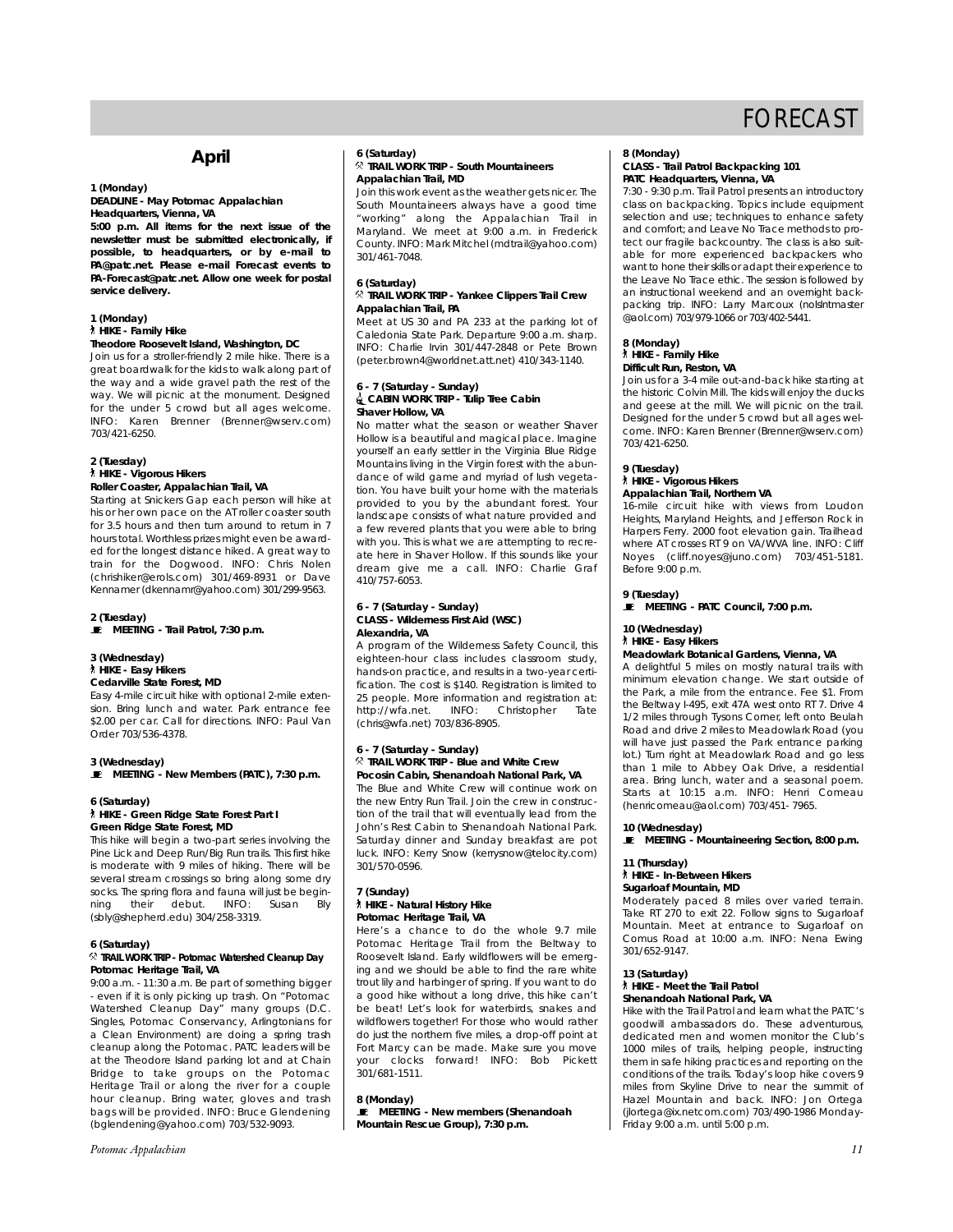#### **April**

#### **1 (Monday)**

**DEADLINE - May** *Potomac Appalachian* **Headquarters, Vienna, VA**

**5:00 p.m. All items for the next issue of the newsletter must be submitted electronically, if possible, to headquarters, or by e-mail to PA@patc.net. Please e-mail Forecast events to PA-Forecast@patc.net. Allow one week for postal service delivery.** 

#### **1 (Monday)** ` **HIKE - Family Hike**

#### **Theodore Roosevelt Island, Washington, DC**

Join us for a stroller-friendly 2 mile hike. There is a great boardwalk for the kids to walk along part of the way and a wide gravel path the rest of the way. We will picnic at the monument. Designed for the under 5 crowd but all ages welcome. INFO: Karen Brenner (Brenner@wserv.com) 703/421-6250.

#### **2 (Tuesday)** ` **HIKE - Vigorous Hikers Roller Coaster, Appalachian Trail, VA**

Starting at Snickers Gap each person will hike at his or her own pace on the AT roller coaster south for 3.5 hours and then turn around to return in 7 hours total. Worthless prizes might even be awarded for the longest distance hiked. A great way to train for the Dogwood. INFO: Chris Nolen (chrishiker@erols.com) 301/469-8931 or Dave Kennamer (dkennamr@yahoo.com) 301/299-9563.

#### **2 (Tuesday)**

**E** MEETING - Trail Patrol, 7:30 p.m.

#### **3 (Wednesday)** ` **HIKE - Easy Hikers Cedarville State Forest, MD**

Easy 4-mile circuit hike with optional 2-mile extension. Bring lunch and water. Park entrance fee \$2.00 per car. Call for directions. INFO: Paul Van Order 703/536-4378.

#### **3 (Wednesday)**

**E** MEETING - New Members (PATC), 7:30 p.m.

#### **6 (Saturday)** ` **HIKE - Green Ridge State Forest Part I Green Ridge State Forest, MD**

This hike will begin a two-part series involving the Pine Lick and Deep Run/Big Run trails. This first hike is moderate with 9 miles of hiking. There will be several stream crossings so bring along some dry socks. The spring flora and fauna will just be begin-<br>ning their debut. INFO: Susan Bly debut. (sbly@shepherd.edu) 304/258-3319.

#### **6 (Saturday)**

#### . **TRAIL WORK TRIP - Potomac Watershed Cleanup Day Potomac Heritage Trail, VA**

9:00 a.m. - 11:30 a.m. Be part of something bigger - even if it is only picking up trash. On "Potomac Watershed Cleanup Day" many groups (D.C. Singles, Potomac Conservancy, Arlingtonians for a Clean Environment) are doing a spring trash cleanup along the Potomac. PATC leaders will be at the Theodore Island parking lot and at Chain Bridge to take groups on the Potomac Heritage Trail or along the river for a couple hour cleanup. Bring water, gloves and trash bags will be provided. INFO: Bruce Glendening (bglendening@yahoo.com) 703/532-9093.

#### *Potomac Appalachian 11*

#### **6 (Saturday)** . **TRAIL WORK TRIP - South Mountaineers Appalachian Trail, MD**

Join this work event as the weather gets nicer. The South Mountaineers always have a good time "working" along the Appalachian Trail in Maryland. We meet at 9:00 a.m. in Frederick County. INFO: Mark Mitchel (mdtrail@yahoo.com) 301/461-7048.

#### **6 (Saturday)**

#### . **TRAIL WORK TRIP - Yankee Clippers Trail Crew Appalachian Trail, PA**

Meet at US 30 and PA 233 at the parking lot of Caledonia State Park. Departure 9:00 a.m. sharp. INFO: Charlie Irvin 301/447-2848 or Pete Brown (peter.brown4@worldnet.att.net) 410/343-1140.

#### **6 - 7 (Saturday - Sunday)** i**CABIN WORK TRIP - Tulip Tree Cabin Shaver Hollow, VA**

No matter what the season or weather Shaver Hollow is a beautiful and magical place. Imagine yourself an early settler in the Virginia Blue Ridge Mountains living in the Virgin forest with the abundance of wild game and myriad of lush vegetation. You have built your home with the materials provided to you by the abundant forest. Your landscape consists of what nature provided and a few revered plants that you were able to bring with you. This is what we are attempting to recreate here in Shaver Hollow. If this sounds like your dream give me a call. INFO: Charlie Graf 410/757-6053.

#### **6 - 7 (Saturday - Sunday) CLASS - Wilderness First Aid (WSC) Alexandria, VA**

A program of the Wilderness Safety Council, this eighteen-hour class includes classroom study, hands-on practice, and results in a two-year certification. The cost is \$140. Registration is limited to 25 people. More information and registration at:<br>http://wfa.net. INFO: Christopher Tate http://wfa.net. INFO: Christopher (chris@wfa.net) 703/836-8905.

#### **6 - 7 (Saturday - Sunday)** . **TRAIL WORK TRIP - Blue and White Crew Pocosin Cabin, Shenandoah National Park, VA**

The Blue and White Crew will continue work on the new Entry Run Trail. Join the crew in construction of the trail that will eventually lead from the John's Rest Cabin to Shenandoah National Park. Saturday dinner and Sunday breakfast are pot luck. INFO: Kerry Snow (kerrysnow@telocity.com) 301/570-0596.

#### **7 (Sunday)** ` **HIKE - Natural History Hike Potomac Heritage Trail, VA**

Here's a chance to do the whole 9.7 mile Potomac Heritage Trail from the Beltway to Roosevelt Island. Early wildflowers will be emerging and we should be able to find the rare white trout lily and harbinger of spring. If you want to do a good hike without a long drive, this hike can't be beat! Let's look for waterbirds, snakes and wildflowers together! For those who would rather do just the northern five miles, a drop-off point at Fort Marcy can be made. Make sure you move your clocks forward! INFO: Bob Pickett 301/681-1511.

#### **8 (Monday)**

 $\bullet$  MEETING - New members (Shenandoah **Mountain Rescue Group), 7:30 p.m.**

#### **8 (Monday)**

#### **CLASS - Trail Patrol Backpacking 101 PATC Headquarters, Vienna, VA**

7:30 - 9:30 p.m. Trail Patrol presents an introductory class on backpacking. Topics include equipment selection and use; techniques to enhance safety and comfort; and Leave No Trace methods to protect our fragile backcountry. The class is also suitable for more experienced backpackers who want to hone their skills or adapt their experience to the Leave No Trace ethic. The session is followed by an instructional weekend and an overnight backpacking trip. INFO: Larry Marcoux (nolslntmaster @aol.com) 703/979-1066 or 703/402-5441.

#### **8 (Monday)** ` **HIKE - Family Hike Difficult Run, Reston, VA**

Join us for a 3-4 mile out-and-back hike starting at the historic Colvin Mill. The kids will enjoy the ducks and geese at the mill. We will picnic on the trail. Designed for the under 5 crowd but all ages welcome. INFO: Karen Brenner (Brenner@wserv.com) 703/421-6250.

#### **9 (Tuesday)** ` **HIKE - Vigorous Hikers**

#### **Appalachian Trail, Northern VA**

16-mile circuit hike with views from Loudon Heights, Maryland Heights, and Jefferson Rock in Harpers Ferry. 2000 foot elevation gain. Trailhead where AT crosses RT 9 on VA/WVA line. INFO: Cliff Noyes (cliff.noyes@juno.com) 703/451-5181. Before 9:00 p.m.

**9 (Tuesday)**

\ **MEETING - PATC Council, 7:00 p.m.**

#### **10 (Wednesday)** ` **HIKE - Easy Hikers**

#### **Meadowlark Botanical Gardens, Vienna, VA**

A delightful 5 miles on mostly natural trails with minimum elevation change. We start outside of the Park, a mile from the entrance. Fee \$1. From the Beltway I-495, exit 47A west onto RT 7. Drive 4 1/2 miles through Tysons Corner, left onto Beulah Road and drive 2 miles to Meadowlark Road (you will have just passed the Park entrance parking lot.) Turn right at Meadowlark Road and go less than 1 mile to Abbey Oak Drive, a residential area. Bring lunch, water and a seasonal poem. Starts at 10:15 a.m. INFO: Henri Comeau (henricomeau@aol.com) 703/451- 7965.

#### **10 (Wednesday)** \ **MEETING - Mountaineering Section, 8:00 p.m.**

**11 (Thursday)** ` **HIKE - In-Between Hikers**

### **Sugarloaf Mountain, MD**

Moderately paced 8 miles over varied terrain. Take RT 270 to exit 22. Follow signs to Sugarloaf Mountain. Meet at entrance to Sugarloaf on Comus Road at 10:00 a.m. INFO: Nena Ewing 301/652-9147.

#### **13 (Saturday)** ` **HIKE - Meet the Trail Patrol**

#### **Shenandoah National Park, VA**

Friday 9:00 a.m. until 5:00 p.m.

Hike with the Trail Patrol and learn what the PATC's goodwill ambassadors do. These adventurous, dedicated men and women monitor the Club's 1000 miles of trails, helping people, instructing them in safe hiking practices and reporting on the conditions of the trails. Today's loop hike covers 9 miles from Skyline Drive to near the summit of Hazel Mountain and back. INFO: Jon Ortega (jlortega@ix.netcom.com) 703/490-1986 Monday-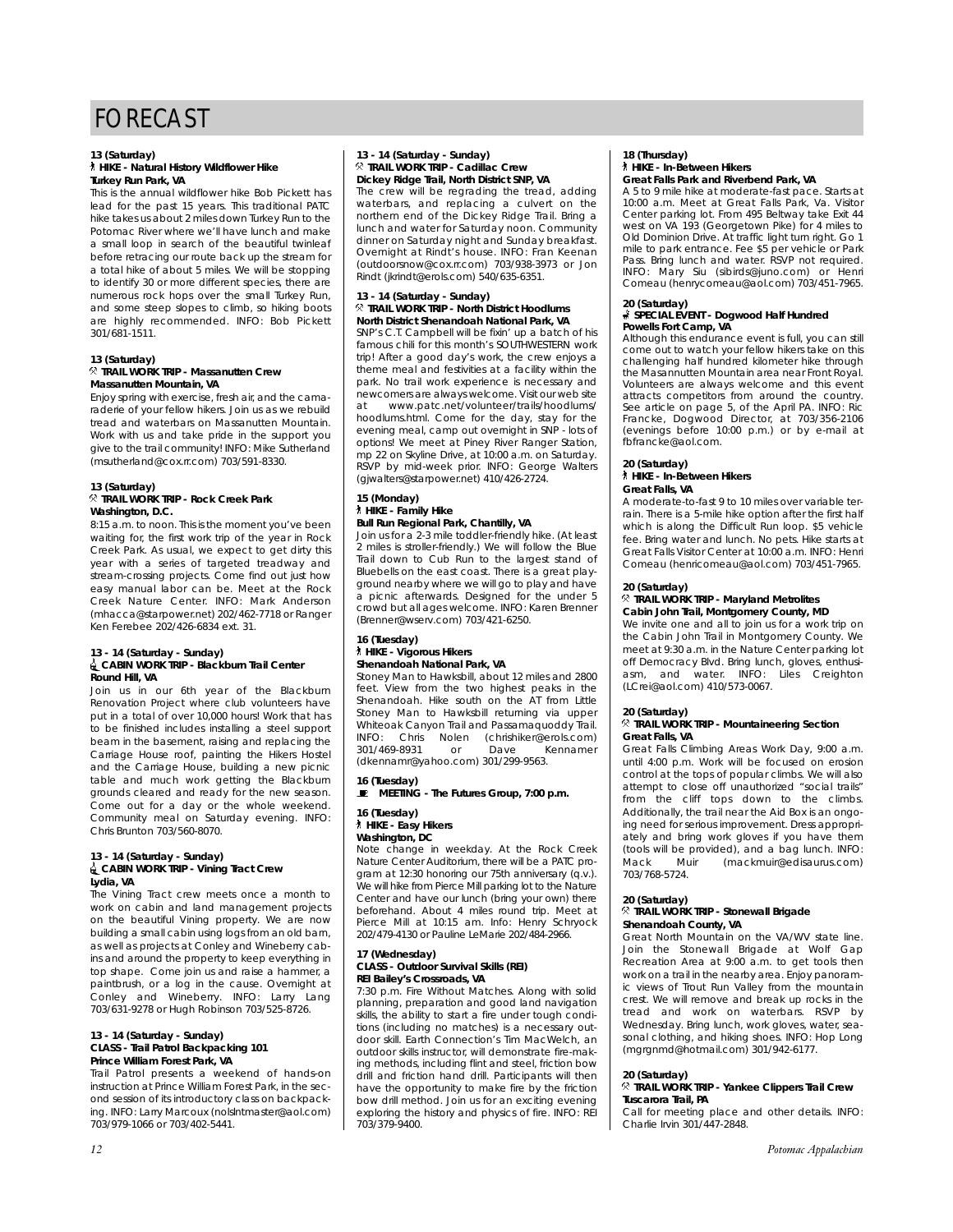#### **13 (Saturday)**

#### ` **HIKE - Natural History Wildflower Hike Turkey Run Park, VA**

This is the annual wildflower hike Bob Pickett has lead for the past 15 years. This traditional PATC hike takes us about 2 miles down Turkey Run to the Potomac River where we'll have lunch and make a small loop in search of the beautiful twinleaf before retracing our route back up the stream for a total hike of about 5 miles. We will be stopping to identify 30 or more different species, there are numerous rock hops over the small Turkey Run, and some steep slopes to climb, so hiking boots are highly recommended. INFO: Bob Pickett 301/681-1511.

#### **13 (Saturday)** . **TRAIL WORK TRIP - Massanutten Crew Massanutten Mountain, VA**

Enjoy spring with exercise, fresh air, and the camaraderie of your fellow hikers. Join us as we rebuild tread and waterbars on Massanutten Mountain. Work with us and take pride in the support you give to the trail community! INFO: Mike Sutherland (msutherland@cox.rr.com) 703/591-8330.

#### **13 (Saturday)** . **TRAIL WORK TRIP - Rock Creek Park Washington, D.C.**

8:15 a.m. to noon. This is the moment you've been waiting for, the first work trip of the year in Rock Creek Park. As usual, we expect to get dirty this year with a series of targeted treadway and stream-crossing projects. Come find out just how easy manual labor can be. Meet at the Rock Creek Nature Center. INFO: Mark Anderson (mhacca@starpower.net) 202/462-7718 or Ranger Ken Ferebee 202/426-6834 ext. 31.

#### **13 - 14 (Saturday - Sunday)** i**CABIN WORK TRIP - Blackburn Trail Center Round Hill, VA**

Join us in our 6th year of the Blackburn Renovation Project where club volunteers have put in a total of over 10,000 hours! Work that has to be finished includes installing a steel support beam in the basement, raising and replacing the Carriage House roof, painting the Hikers Hostel and the Carriage House, building a new picnic table and much work getting the Blackburn grounds cleared and ready for the new season. Come out for a day or the whole weekend. Community meal on Saturday evening. INFO: Chris Brunton 703/560-8070.

#### **13 - 14 (Saturday - Sunday)** i**CABIN WORK TRIP - Vining Tract Crew Lydia, VA**

The Vining Tract crew meets once a month to work on cabin and land management projects on the beautiful Vining property. We are now building a small cabin using logs from an old barn, as well as projects at Conley and Wineberry cabins and around the property to keep everything in top shape. Come join us and raise a hammer, a paintbrush, or a log in the cause. Overnight at Conley and Wineberry. INFO: Larry Lang 703/631-9278 or Hugh Robinson 703/525-8726.

#### **13 - 14 (Saturday - Sunday) CLASS - Trail Patrol Backpacking 101 Prince William Forest Park, VA**

Trail Patrol presents a weekend of hands-on instruction at Prince William Forest Park, in the second session of its introductory class on backpacking. INFO: Larry Marcoux (nolslntmaster@aol.com) 703/979-1066 or 703/402-5441.

#### **13 - 14 (Saturday - Sunday)** . **TRAIL WORK TRIP - Cadillac Crew Dickey Ridge Trail, North District SNP, VA**

The crew will be regrading the tread, adding waterbars, and replacing a culvert on the northern end of the Dickey Ridge Trail. Bring a lunch and water for Saturday noon. Community dinner on Saturday night and Sunday breakfast. Overnight at Rindt's house. INFO: Fran Keenan (outdoorsnow@cox.rr.com) 703/938-3973 or Jon Rindt (jkrindt@erols.com) 540/635-6351.

#### **13 - 14 (Saturday - Sunday)** . **TRAIL WORK TRIP - North District Hoodlums North District Shenandoah National Park, VA**

SNP's C.T. Campbell will be fixin' up a batch of his famous chili for this month's SOUTHWESTERN work trip! After a good day's work, the crew enjoys a theme meal and festivities at a facility within the park. No trail work experience is necessary and newcomers are always welcome. Visit our web site at www.patc.net/volunteer/trails/hoodlums/ hoodlums.html. Come for the day, stay for the evening meal, camp out overnight in SNP - lots of options! We meet at Piney River Ranger Station, mp 22 on Skyline Drive, at 10:00 a.m. on Saturday. RSVP by mid-week prior. INFO: George Walters (gjwalters@starpower.net) 410/426-2724.

#### **15 (Monday)** ` **HIKE - Family Hike Bull Run Regional Park, Chantilly, VA**

Join us for a 2-3 mile toddler-friendly hike. (At least 2 miles is stroller-friendly.) We will follow the Blue Trail down to Cub Run to the largest stand of Bluebells on the east coast. There is a great playground nearby where we will go to play and have a picnic afterwards. Designed for the under 5 crowd but all ages welcome. INFO: Karen Brenner (Brenner@wserv.com) 703/421-6250.

#### **16 (Tuesday)** ` **HIKE - Vigorous Hikers**

#### **Shenandoah National Park, VA** Stoney Man to Hawksbill, about 12 miles and 2800 feet. View from the two highest peaks in the Shenandoah. Hike south on the AT from Little Stoney Man to Hawksbill returning via upper Whiteoak Canyon Trail and Passamaquoddy Trail. INFO: Chris Nolen (chrishiker@erols.com)

301/469-8931 or Dave Kennamer (dkennamr@yahoo.com) 301/299-9563. **16 (Tuesday) E** MEETING - The Futures Group, 7:00 p.m.

#### **16 (Tuesday)** ` **HIKE - Easy Hikers**

**Washington, DC**

Note change in weekday. At the Rock Creek Nature Center Auditorium, there will be a PATC program at 12:30 honoring our 75th anniversary (q.v.). We will hike from Pierce Mill parking lot to the Nature Center and have our lunch (bring your own) there beforehand. About 4 miles round trip. Meet at Pierce Mill at 10:15 am. Info: Henry Schryock 202/479-4130 or Pauline LeMarie 202/484-2966.

#### **17 (Wednesday) CLASS - Outdoor Survival Skills (REI) REI Bailey's Crossroads, VA**

7:30 p.m. Fire Without Matches. Along with solid planning, preparation and good land navigation skills, the ability to start a fire under tough conditions (including no matches) is a necessary outdoor skill. Earth Connection's Tim MacWelch, an outdoor skills instructor, will demonstrate fire-making methods, including flint and steel, friction bow drill and friction hand drill. Participants will then have the opportunity to make fire by the friction bow drill method. Join us for an exciting evening exploring the history and physics of fire. INFO: REI 703/379-9400.

#### **18 (Thursday)** ` **HIKE - In-Between Hikers Great Falls Park and Riverbend Park, VA**

A 5 to 9 mile hike at moderate-fast pace. Starts at 10:00 a.m. Meet at Great Falls Park, Va. Visitor Center parking lot. From 495 Beltway take Exit 44 west on VA 193 (Georgetown Pike) for 4 miles to Old Dominion Drive. At traffic light turn right. Go 1 mile to park entrance. Fee \$5 per vehicle or Park Pass. Bring lunch and water. RSVP not required. INFO: Mary Siu (sibirds@juno.com) or Henri Comeau (henrycomeau@aol.com) 703/451-7965.

#### **20 (Saturday)**

#### s **SPECIAL EVENT - Dogwood Half Hundred Powells Fort Camp, VA**

Although this endurance event is full, you can still come out to watch your fellow hikers take on this challenging half hundred kilometer hike through the Masannutten Mountain area near Front Royal. Volunteers are always welcome and this event attracts competitors from around the country. See article on page 5, of the April *PA*. INFO: Ric Francke, Dogwood Director, at 703/356-2106 (evenings before 10:00 p.m.) or by e-mail at fbfrancke@aol.com.

#### **20 (Saturday)**

` **HIKE - In-Between Hikers Great Falls, VA**

A moderate-to-fast 9 to 10 miles over variable terrain. There is a 5-mile hike option after the first half which is along the Difficult Run loop. \$5 vehicle fee. Bring water and lunch. No pets. Hike starts at Great Falls Visitor Center at 10:00 a.m. INFO: Henri Comeau (henricomeau@aol.com) 703/451-7965.

#### **20 (Saturday)**

#### . **TRAIL WORK TRIP - Maryland Metrolites Cabin John Trail, Montgomery County, MD**

We invite one and all to join us for a work trip on the Cabin John Trail in Montgomery County. We meet at 9:30 a.m. in the Nature Center parking lot off Democracy Blvd. Bring lunch, gloves, enthusiasm, and water. INFO: Liles Creighton (LCrei@aol.com) 410/573-0067.

#### **20 (Saturday)**

#### . **TRAIL WORK TRIP - Mountaineering Section Great Falls, VA**

Great Falls Climbing Areas Work Day, 9:00 a.m. until 4:00 p.m. Work will be focused on erosion control at the tops of popular climbs. We will also attempt to close off unauthorized "social trails" from the cliff tops down to the climbs. Additionally, the trail near the Aid Box is an ongoing need for serious improvement. Dress appropriately and bring work gloves if you have them (tools will be provided), and a bag lunch. INFO: Mack Muir (mackmuir@edisaurus.com) 703/768-5724.

#### **20 (Saturday)**

#### . **TRAIL WORK TRIP - Stonewall Brigade Shenandoah County, VA**

Great North Mountain on the VA/WV state line. Join the Stonewall Brigade at Wolf Gap Recreation Area at 9:00 a.m. to get tools then work on a trail in the nearby area. Enjoy panoramic views of Trout Run Valley from the mountain crest. We will remove and break up rocks in the tread and work on waterbars. RSVP by Wednesday. Bring lunch, work gloves, water, seasonal clothing, and hiking shoes. INFO: Hop Long (mgrgnmd@hotmail.com) 301/942-6177.

#### **20 (Saturday)** . **TRAIL WORK TRIP - Yankee Clippers Trail Crew**

**Tuscarora Trail, PA** Call for meeting place and other details. INFO: Charlie Irvin 301/447-2848.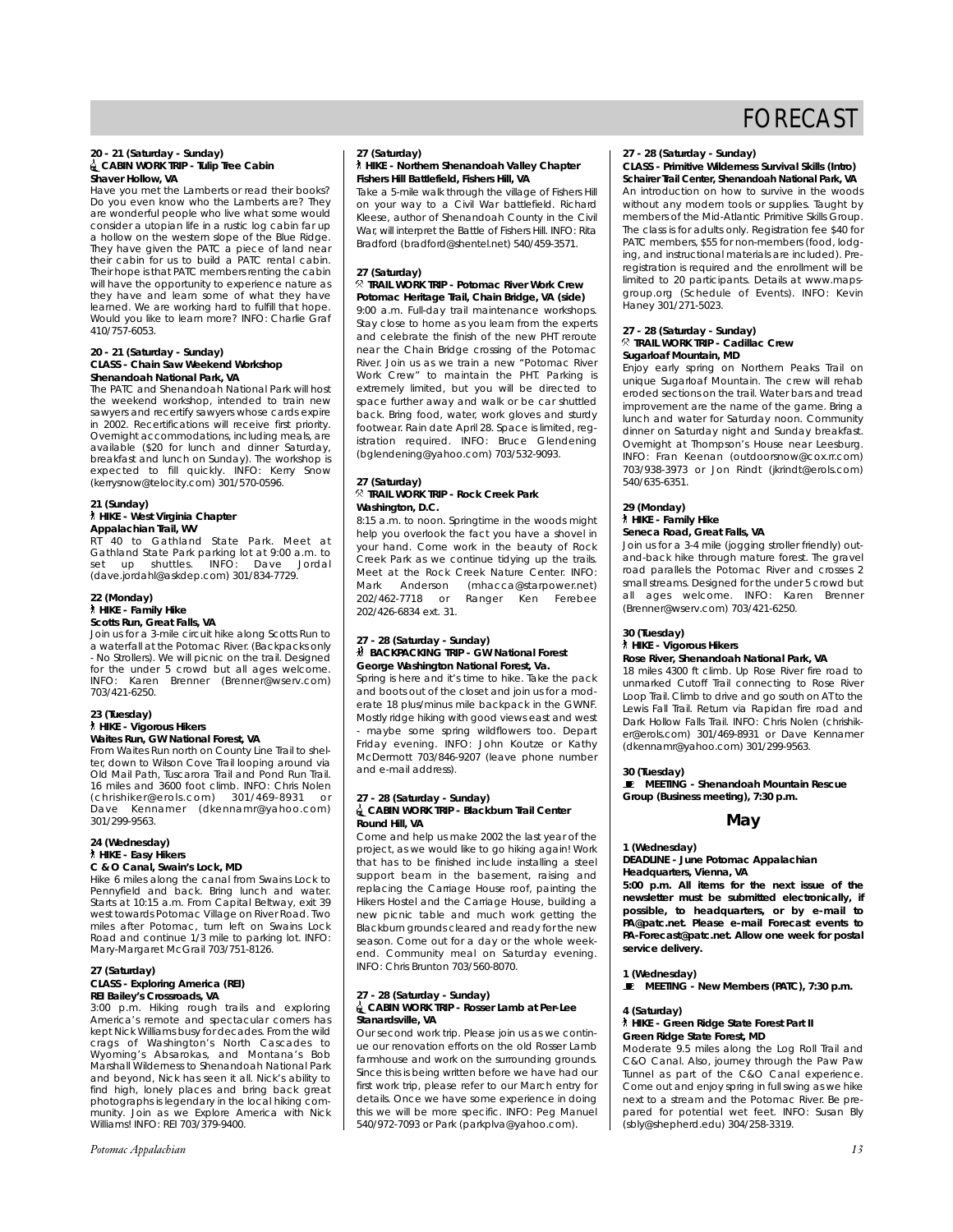#### **20 - 21 (Saturday - Sunday)** i**CABIN WORK TRIP - Tulip Tree Cabin Shaver Hollow, VA**

Have you met the Lamberts or read their books? Do you even know who the Lamberts are? They are wonderful people who live what some would consider a utopian life in a rustic log cabin far up a hollow on the western slope of the Blue Ridge. They have given the PATC a piece of land near their cabin for us to build a PATC rental cabin. Their hope is that PATC members renting the cabin will have the opportunity to experience nature as they have and learn some of what they have learned. We are working hard to fulfill that hope. Would you like to learn more? INFO: Charlie Graf 410/757-6053.

#### **20 - 21 (Saturday - Sunday) CLASS - Chain Saw Weekend Workshop Shenandoah National Park, VA**

The PATC and Shenandoah National Park will host the weekend workshop, intended to train new sawyers and recertify sawyers whose cards expire in 2002. Recertifications will receive first priority. Overnight accommodations, including meals, are available (\$20 for lunch and dinner Saturday, breakfast and lunch on Sunday). The workshop is expected to fill quickly. INFO: Kerry Snow (kerrysnow@telocity.com) 301/570-0596.

#### **21 (Sunday)**

#### ` **HIKE - West Virginia Chapter Appalachian Trail, WV**

RT 40 to Gathland State Park. Meet at Gathland State Park parking lot at 9:00 a.m. to set up shuttles. INFO: Dave Jordal (dave.jordahl@askdep.com) 301/834-7729.

#### **22 (Monday)** ` **HIKE - Family Hike Scotts Run, Great Falls, VA**

Join us for a 3-mile circuit hike along Scotts Run to a waterfall at the Potomac River. (Backpacks only - No Strollers). We will picnic on the trail. Designed for the under 5 crowd but all ages welcome. INFO: Karen Brenner (Brenner@wserv.com) 703/421-6250.

#### **23 (Tuesday)** ` **HIKE - Vigorous Hikers Waites Run, GW National Forest, VA**

From Waites Run north on County Line Trail to shelter, down to Wilson Cove Trail looping around via Old Mail Path, Tuscarora Trail and Pond Run Trail. 16 miles and 3600 foot climb. INFO: Chris Nolen (chrishiker@erols.com) 301/469-8931 or Dave Kennamer (dkennamr@yahoo.com) 301/299-9563.

#### **24 (Wednesday)** ` **HIKE - Easy Hikers C & O Canal, Swain's Lock, MD**

Hike 6 miles along the canal from Swains Lock to Pennyfield and back. Bring lunch and water. Starts at 10:15 a.m. From Capital Beltway, exit 39 west towards Potomac Village on River Road. Two miles after Potomac, turn left on Swains Lock Road and continue 1/3 mile to parking lot. INFO: Mary-Margaret McGrail 703/751-8126.

#### **27 (Saturday) CLASS - Exploring America (REI) REI Bailey's Crossroads, VA**

3:00 p.m. Hiking rough trails and exploring America's remote and spectacular corners has kept Nick Williams busy for decades. From the wild crags of Washington's North Cascades to Wyoming's Absarokas, and Montana's Bob Marshall Wilderness to Shenandoah National Park and beyond, Nick has seen it all. Nick's ability to find high, lonely places and bring back great photographs is legendary in the local hiking community. Join as we Explore America with Nick Williams! INFO: REI 703/379-9400.

*Potomac Appalachian 13*

#### **27 (Saturday)** ` **HIKE - Northern Shenandoah Valley Chapter**

**Fishers Hill Battlefield, Fishers Hill, VA**

Take a 5-mile walk through the village of Fishers Hill on your way to a Civil War battlefield. Richard Kleese, author of Shenandoah County in the Civil War, will interpret the Battle of Fishers Hill. INFO: Rita Bradford (bradford@shentel.net) 540/459-3571.

#### **27 (Saturday)**

#### . **TRAIL WORK TRIP - Potomac River Work Crew Potomac Heritage Trail, Chain Bridge, VA (side)**

9:00 a.m. Full-day trail maintenance workshops. Stay close to home as you learn from the experts and celebrate the finish of the new PHT reroute near the Chain Bridge crossing of the Potomac River. Join us as we train a new "Potomac River Work Crew" to maintain the PHT. Parking is extremely limited, but you will be directed to space further away and walk or be car shuttled back. Bring food, water, work gloves and sturdy footwear. Rain date April 28. Space is limited, registration required. INFO: Bruce Glendening (bglendening@yahoo.com) 703/532-9093.

#### **27 (Saturday)** . **TRAIL WORK TRIP - Rock Creek Park Washington, D.C.**

8:15 a.m. to noon. Springtime in the woods might help you overlook the fact you have a shovel in your hand. Come work in the beauty of Rock Creek Park as we continue tidying up the trails. Meet at the Rock Creek Nature Center. INFO: Mark Anderson (mhacca@starpower.net) 202/462-7718 or Ranger Ken Ferebee 202/426-6834 ext. 31.

#### **27 - 28 (Saturday - Sunday)** ~ **BACKPACKING TRIP - GW National Forest George Washington National Forest, Va.**

Spring is here and it's time to hike. Take the pack and boots out of the closet and join us for a moderate 18 plus/minus mile backpack in the GWNF. Mostly ridge hiking with good views east and west maybe some spring wildflowers too. Depart Friday evening. INFO: John Koutze or Kathy McDermott 703/846-9207 (leave phone number and e-mail address).

#### **27 - 28 (Saturday - Sunday)** i**CABIN WORK TRIP - Blackburn Trail Center Round Hill, VA**

Come and help us make 2002 the last year of the project, as we would like to go hiking again! Work that has to be finished include installing a steel support beam in the basement, raising and replacing the Carriage House roof, painting the Hikers Hostel and the Carriage House, building a new picnic table and much work getting the Blackburn grounds cleared and ready for the new season. Come out for a day or the whole weekend. Community meal on Saturday evening. INFO: Chris Brunton 703/560-8070.

#### **27 - 28 (Saturday - Sunday)** i**CABIN WORK TRIP - Rosser Lamb at Per-Lee Stanardsville, VA**

Our second work trip. Please join us as we continue our renovation efforts on the old Rosser Lamb farmhouse and work on the surrounding grounds. Since this is being written before we have had our first work trip, please refer to our March entry for details. Once we have some experience in doing this we will be more specific. INFO: Peg Manuel 540/972-7093 or Park (parkplva@yahoo.com).

#### **27 - 28 (Saturday - Sunday)**

**CLASS - Primitive Wilderness Survival Skills (Intro) Schairer Trail Center, Shenandoah National Park, VA**

An introduction on how to survive in the woods without any modern tools or supplies. Taught by members of the Mid-Atlantic Primitive Skills Group. The class is for adults only. Registration fee \$40 for PATC members, \$55 for non-members (food, lodging, and instructional materials are included). Preregistration is required and the enrollment will be limited to 20 participants. Details at www.mapsgroup.org (Schedule of Events). INFO: Kevin Haney 301/271-5023.

#### **27 - 28 (Saturday - Sunday)** . **TRAIL WORK TRIP - Cadillac Crew Sugarloaf Mountain, MD**

Enjoy early spring on Northern Peaks Trail on unique Sugarloaf Mountain. The crew will rehab eroded sections on the trail. Water bars and tread improvement are the name of the game. Bring a lunch and water for Saturday noon. Community dinner on Saturday night and Sunday breakfast. Overnight at Thompson's House near Leesburg. INFO: Fran Keenan (outdoorsnow@cox.rr.com) 703/938-3973 or Jon Rindt (jkrindt@erols.com) 540/635-6351.

#### **29 (Monday)**

#### ` **HIKE - Family Hike Seneca Road, Great Falls, VA**

Join us for a 3-4 mile (jogging stroller friendly) outand-back hike through mature forest. The gravel road parallels the Potomac River and crosses 2 small streams. Designed for the under 5 crowd but all ages welcome. INFO: Karen Brenner (Brenner@wserv.com) 703/421-6250.

#### **30 (Tuesday)**

#### ` **HIKE - Vigorous Hikers**

#### **Rose River, Shenandoah National Park, VA**

18 miles 4300 ft climb. Up Rose River fire road to unmarked Cutoff Trail connecting to Rose River Loop Trail. Climb to drive and go south on AT to the Lewis Fall Trail. Return via Rapidan fire road and Dark Hollow Falls Trail. INFO: Chris Nolen (chrishiker@erols.com) 301/469-8931 or Dave Kennamer (dkennamr@yahoo.com) 301/299-9563.

#### **30 (Tuesday)**

\ **MEETING - Shenandoah Mountain Rescue Group (Business meeting), 7:30 p.m.**

#### **May**

#### **1 (Wednesday)**

**DEADLINE - June** *Potomac Appalachian* **Headquarters, Vienna, VA**

**5:00 p.m. All items for the next issue of the**

**newsletter must be submitted electronically, if possible, to headquarters, or by e-mail to PA@patc.net. Please e-mail Forecast events to PA-Forecast@patc.net. Allow one week for postal service delivery.**

**1 (Wednesday)** \ **MEETING - New Members (PATC), 7:30 p.m.**

#### **4 (Saturday)**

#### ` **HIKE - Green Ridge State Forest Part II Green Ridge State Forest, MD**

Moderate 9.5 miles along the Log Roll Trail and C&O Canal. Also, journey through the Paw Paw Tunnel as part of the C&O Canal experience. Come out and enjoy spring in full swing as we hike next to a stream and the Potomac River. Be prepared for potential wet feet. INFO: Susan Bly (sbly@shepherd.edu) 304/258-3319.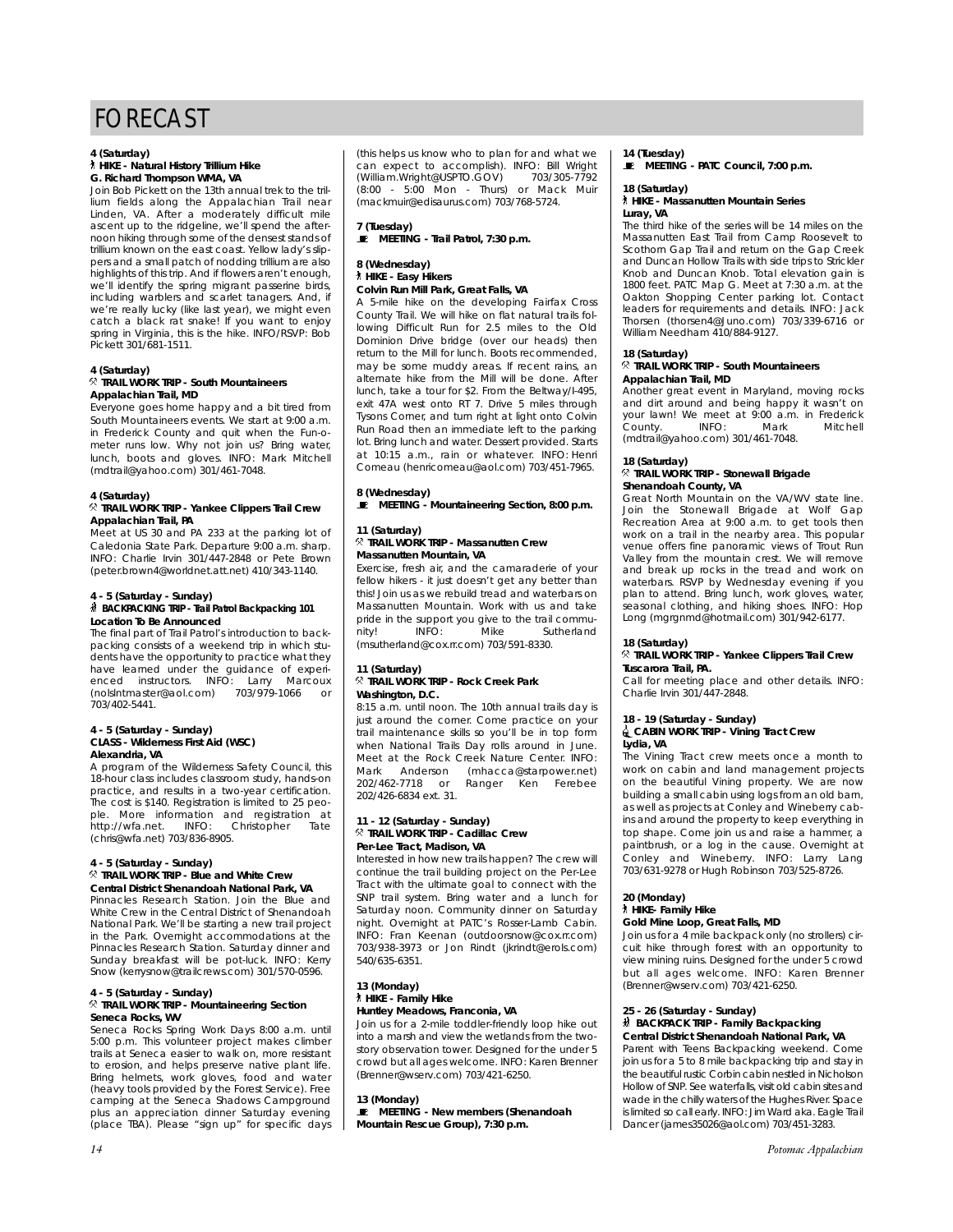#### **4 (Saturday)** ` **HIKE - Natural History Trillium Hike G. Richard Thompson WMA, VA**

Join Bob Pickett on the 13th annual trek to the trillium fields along the Appalachian Trail near Linden, VA. After a moderately difficult mile ascent up to the ridgeline, we'll spend the afternoon hiking through some of the densest stands of trillium known on the east coast. Yellow lady's slippers and a small patch of nodding trillium are also highlights of this trip. And if flowers aren't enough, we'll identify the spring migrant passerine birds, including warblers and scarlet tanagers. And, if we're really lucky (like last year), we might even catch a black rat snake! If you want to enjoy spring in Virginia, this is the hike. INFO/RSVP: Bob Pickett 301/681-1511.

#### **4 (Saturday)** . **TRAIL WORK TRIP - South Mountaineers Appalachian Trail, MD**

Everyone goes home happy and a bit tired from South Mountaineers events. We start at 9:00 a.m. in Frederick County and quit when the Fun-ometer runs low. Why not join us? Bring water, lunch, boots and gloves. INFO: Mark Mitchell (mdtrail@yahoo.com) 301/461-7048.

#### **4 (Saturday)**

#### . **TRAIL WORK TRIP - Yankee Clippers Trail Crew Appalachian Trail, PA**

Meet at US 30 and PA 233 at the parking lot of Caledonia State Park. Departure 9:00 a.m. sharp. INFO: Charlie Irvin 301/447-2848 or Pete Brown (peter.brown4@worldnet.att.net) 410/343-1140.

#### **4 - 5 (Saturday - Sunday)**

#### ~ **BACKPACKING TRIP - Trail Patrol Backpacking 101 Location To Be Announced**

The final part of Trail Patrol's introduction to backpacking consists of a weekend trip in which students have the opportunity to practice what they have learned under the guidance of experi-<br>enced instructors. INFO: Larry Marcoux lNFO: Larry Mar<br>m) 703/979-1066 (nolslntmaster@aol.com) 703/979-1066 or 703/402-5441.

#### **4 - 5 (Saturday - Sunday) CLASS - Wilderness First Aid (WSC) Alexandria, VA**

A program of the Wilderness Safety Council, this 18-hour class includes classroom study, hands-on practice, and results in a two-year certification. The cost is \$140. Registration is limited to 25 people. More information and registration at<br>http://wfa.net. INFO: Christopher Tate http://wfa.net. INFO: (chris@wfa.net) 703/836-8905.

#### **4 - 5 (Saturday - Sunday)**

#### . **TRAIL WORK TRIP - Blue and White Crew Central District Shenandoah National Park, VA**

Pinnacles Research Station. Join the Blue and White Crew in the Central District of Shenandoah National Park. We'll be starting a new trail project in the Park. Overnight accommodations at the Pinnacles Research Station. Saturday dinner and Sunday breakfast will be pot-luck. INFO: Kerry Snow (kerrysnow@trailcrews.com) 301/570-0596.

#### **4 - 5 (Saturday - Sunday)**

#### . **TRAIL WORK TRIP - Mountaineering Section Seneca Rocks, WV**

Seneca Rocks Spring Work Days 8:00 a.m. until 5:00 p.m. This volunteer project makes climber trails at Seneca easier to walk on, more resistant to erosion, and helps preserve native plant life. Bring helmets, work gloves, food and water (heavy tools provided by the Forest Service). Free camping at the Seneca Shadows Campground plus an appreciation dinner Saturday evening (place TBA). Please "sign up" for specific days (this helps us know who to plan for and what we can expect to accomplish). INFO: Bill Wright<br>(William.Wright@USPTO.GOV) 703/305-7792 (William.Wright@USPTO.GOV)<br>(8:00 - 5:00 Mon - Thurs) - 5:00 Mon - Thurs) or Mack Muir (mackmuir@edisaurus.com) 703/768-5724.

**7 (Tuesday)** \ **MEETING - Trail Patrol, 7:30 p.m.**

#### **8 (Wednesday)** ` **HIKE - Easy Hikers**

#### **Colvin Run Mill Park, Great Falls, VA**

A 5-mile hike on the developing Fairfax Cross County Trail. We will hike on flat natural trails following Difficult Run for 2.5 miles to the Old Dominion Drive bridge (over our heads) then return to the Mill for lunch. Boots recommended, may be some muddy areas. If recent rains, an alternate hike from the Mill will be done. After lunch, take a tour for \$2. From the Beltway/I-495, exit 47A west onto RT 7. Drive 5 miles through Tysons Corner, and turn right at light onto Colvin Run Road then an immediate left to the parking lot. Bring lunch and water. Dessert provided. Starts at 10:15 a.m., rain or whatever. INFO: Henri Comeau (henricomeau@aol.com) 703/451-7965.

#### **8 (Wednesday)**

 $\ \blacksquare$  MEETING - Mountaineering Section, 8:00 p.m.

#### **11 (Saturday)** . **TRAIL WORK TRIP - Massanutten Crew Massanutten Mountain, VA**

Exercise, fresh air, and the camaraderie of your fellow hikers - it just doesn't get any better than this! Join us as we rebuild tread and waterbars on Massanutten Mountain. Work with us and take pride in the support you give to the trail commu-<br>nity! INFO: Mike Sutherland nity! INFO: Mike Sutherland (msutherland@cox.rr.com) 703/591-8330.

#### **11 (Saturday)** . **TRAIL WORK TRIP - Rock Creek Park Washington, D.C.**

8:15 a.m. until noon. The 10th annual trails day is just around the corner. Come practice on your trail maintenance skills so you'll be in top form when National Trails Day rolls around in June. Meet at the Rock Creek Nature Center. INFO: Mark Anderson (mhacca@starpower.net)<br>202/462-7718 or Ranger Ken Ferebee Ranger Ken Ferebee 202/426-6834 ext. 31.

#### **11 - 12 (Saturday - Sunday)** . **TRAIL WORK TRIP - Cadillac Crew Per-Lee Tract, Madison, VA**

Interested in how new trails happen? The crew will continue the trail building project on the Per-Lee Tract with the ultimate goal to connect with the SNP trail system. Bring water and a lunch for Saturday noon. Community dinner on Saturday night. Overnight at PATC's Rosser-Lamb Cabin. INFO: Fran Keenan (outdoorsnow@cox.rr.com) 703/938-3973 or Jon Rindt (jkrindt@erols.com) 540/635-6351.

#### **13 (Monday)** ` **HIKE - Family Hike Huntley Meadows, Franconia, VA**

Join us for a 2-mile toddler-friendly loop hike out into a marsh and view the wetlands from the twostory observation tower. Designed for the under 5 crowd but all ages welcome. INFO: Karen Brenner (Brenner@wserv.com) 703/421-6250.

#### **13 (Monday)**

\ **MEETING - New members (Shenandoah Mountain Rescue Group), 7:30 p.m.**

#### **14 (Tuesday)**

 $\quadblacksquare$  MEETING - PATC Council, 7:00 p.m.

#### **18 (Saturday)** ` **HIKE - Massanutten Mountain Series Luray, VA**

The third hike of the series will be 14 miles on the Massanutten East Trail from Camp Roosevelt to Scothorn Gap Trail and return on the Gap Creek and Duncan Hollow Trails with side trips to Strickler Knob and Duncan Knob. Total elevation gain is 1800 feet. PATC Map G. Meet at 7:30 a.m. at the Oakton Shopping Center parking lot. Contact leaders for requirements and details. INFO: Jack Thorsen (thorsen4@Juno.com) 703/339-6716 or William Needham 410/884-9127.

#### **18 (Saturday)**

#### . **TRAIL WORK TRIP - South Mountaineers Appalachian Trail, MD**

Another great event in Maryland, moving rocks and dirt around and being happy it wasn't on your lawn! We meet at 9:00 a.m. in Frederick<br>County. INFO: Mark Mitchell .<br>County. (mdtrail@yahoo.com) 301/461-7048.

# **18 (Saturday)** . **TRAIL WORK TRIP - Stonewall Brigade**

**Shenandoah County, VA** Great North Mountain on the VA/WV state line. Join the Stonewall Brigade at Wolf Gap Recreation Area at 9:00 a.m. to get tools then work on a trail in the nearby area. This popular venue offers fine panoramic views of Trout Run Valley from the mountain crest. We will remove and break up rocks in the tread and work on waterbars. RSVP by Wednesday evening if you plan to attend. Bring lunch, work gloves, water, seasonal clothing, and hiking shoes. INFO: Hop Long (mgrgnmd@hotmail.com) 301/942-6177.

#### **18 (Saturday)** . **TRAIL WORK TRIP - Yankee Clippers Trail Crew Tuscarora Trail, PA.**

Call for meeting place and other details. INFO: Charlie Irvin 301/447-2848.

## **18 - 19 (Saturday - Sunday)**

#### i**CABIN WORK TRIP - Vining Tract Crew Lydia, VA**

The Vining Tract crew meets once a month to work on cabin and land management projects on the beautiful Vining property. We are now building a small cabin using logs from an old barn, as well as projects at Conley and Wineberry cabins and around the property to keep everything in top shape. Come join us and raise a hammer, a paintbrush, or a log in the cause. Overnight at Conley and Wineberry. INFO: Larry Lang 703/631-9278 or Hugh Robinson 703/525-8726.

#### **20 (Monday)**

#### ` **HIKE- Family Hike Gold Mine Loop, Great Falls, MD**

Join us for a 4 mile backpack only (no strollers) circuit hike through forest with an opportunity to view mining ruins. Designed for the under 5 crowd but all ages welcome. INFO: Karen Brenner (Brenner@wserv.com) 703/421-6250.

#### **25 - 26 (Saturday - Sunday)**

#### ~ **BACKPACK TRIP - Family Backpacking Central District Shenandoah National Park, VA**

Parent with Teens Backpacking weekend. Come join us for a 5 to 8 mile backpacking trip and stay in the beautiful rustic Corbin cabin nestled in Nicholson Hollow of SNP. See waterfalls, visit old cabin sites and wade in the chilly waters of the Hughes River. Space is limited so call early. INFO: Jim Ward aka. Eagle Trail Dancer (james35026@aol.com) 703/451-3283.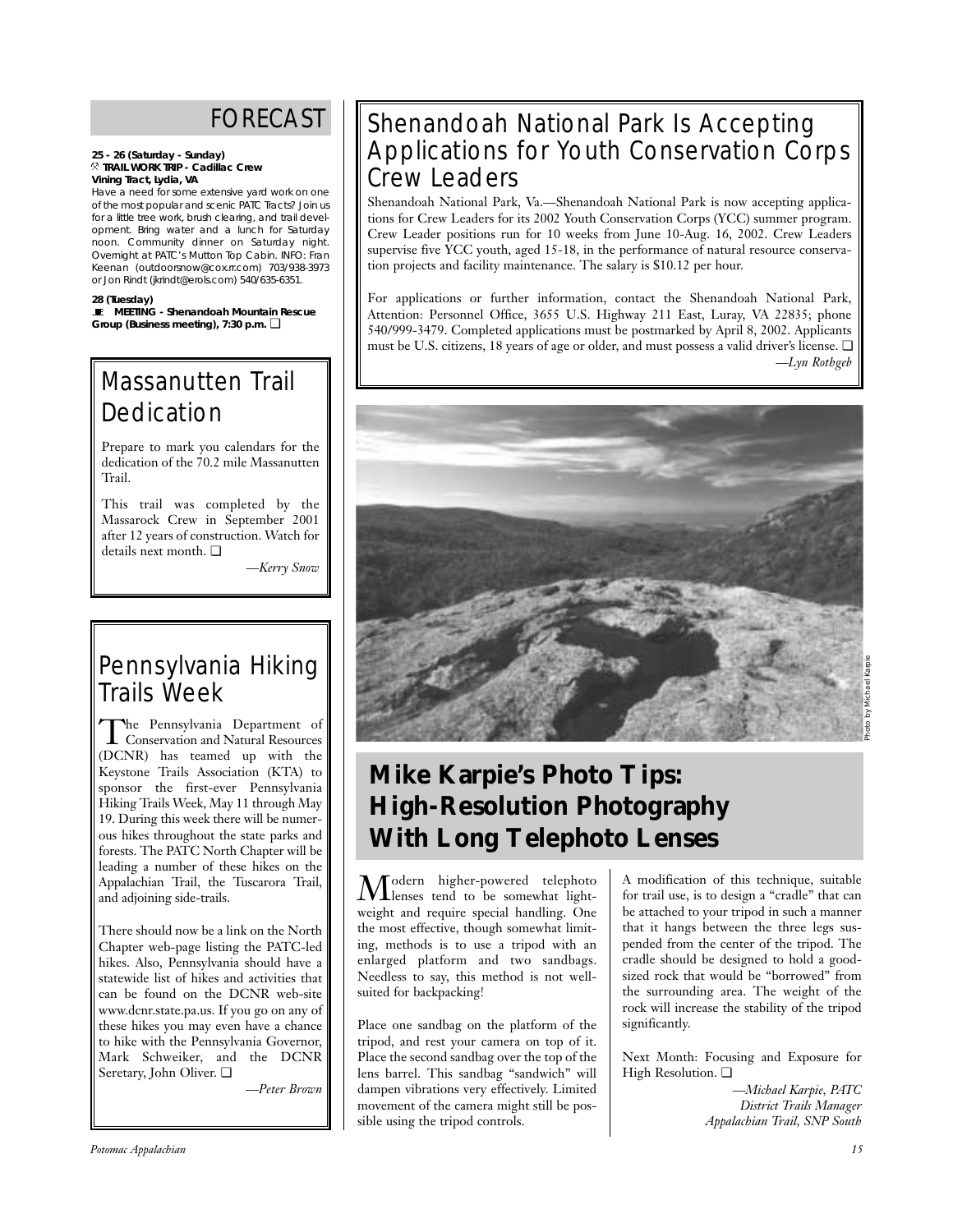#### **25 - 26 (Saturday - Sunday)** . **TRAIL WORK TRIP - Cadillac Crew Vining Tract, Lydia, VA**

Have a need for some extensive yard work on one of the most popular and scenic PATC Tracts? Join us for a little tree work, brush clearing, and trail development. Bring water and a lunch for Saturday noon. Community dinner on Saturday night. Overnight at PATC's Mutton Top Cabin. INFO: Fran Keenan (outdoorsnow@cox.rr.com) 703/938-3973 or Jon Rindt (jkrindt@erols.com) 540/635-6351.

#### **28 (Tuesday)**

\ **MEETING - Shenandoah Mountain Rescue Group (Business meeting), 7:30 p.m.** ❏

# Massanutten Trail **Dedication**

Prepare to mark you calendars for the dedication of the 70.2 mile Massanutten Trail.

This trail was completed by the Massarock Crew in September 2001 after 12 years of construction. Watch for details next month. ❏

*—Kerry Snow*

# Pennsylvania Hiking Trails Week

The Pennsylvania Department of<br>Conservation and Natural Resources (DCNR) has teamed up with the Keystone Trails Association (KTA) to sponsor the first-ever Pennsylvania Hiking Trails Week, May 11 through May 19. During this week there will be numerous hikes throughout the state parks and forests. The PATC North Chapter will be leading a number of these hikes on the Appalachian Trail, the Tuscarora Trail, and adjoining side-trails.

There should now be a link on the North Chapter web-page listing the PATC-led hikes. Also, Pennsylvania should have a statewide list of hikes and activities that can be found on the DCNR web-site www.dcnr.state.pa.us. If you go on any of these hikes you may even have a chance to hike with the Pennsylvania Governor, Mark Schweiker, and the DCNR Seretary, John Oliver. ❏

*—Peter Brown*

# Shenandoah National Park Is Accepting Applications for Youth Conservation Corps Crew Leaders

Shenandoah National Park, Va.—Shenandoah National Park is now accepting applications for Crew Leaders for its 2002 Youth Conservation Corps (YCC) summer program. Crew Leader positions run for 10 weeks from June 10-Aug. 16, 2002. Crew Leaders supervise five YCC youth, aged 15-18, in the performance of natural resource conservation projects and facility maintenance. The salary is \$10.12 per hour.

For applications or further information, contact the Shenandoah National Park, Attention: Personnel Office, 3655 U.S. Highway 211 East, Luray, VA 22835; phone 540/999-3479. Completed applications must be postmarked by April 8, 2002. Applicants must be U.S. citizens, 18 years of age or older, and must possess a valid driver's license. ❏ *—Lyn Rothgeb*



# **Mike Karpie's Photo Tips: High-Resolution Photography With Long Telephoto Lenses**

Modern higher-powered telephoto lenses tend to be somewhat lightweight and require special handling. One the most effective, though somewhat limiting, methods is to use a tripod with an enlarged platform and two sandbags. Needless to say, this method is not wellsuited for backpacking!

Place one sandbag on the platform of the tripod, and rest your camera on top of it. Place the second sandbag over the top of the lens barrel. This sandbag "sandwich" will dampen vibrations very effectively. Limited movement of the camera might still be possible using the tripod controls.

A modification of this technique, suitable for trail use, is to design a "cradle" that can be attached to your tripod in such a manner that it hangs between the three legs suspended from the center of the tripod. The cradle should be designed to hold a goodsized rock that would be "borrowed" from the surrounding area. The weight of the rock will increase the stability of the tripod significantly.

Next Month: Focusing and Exposure for High Resolution. ❏

> *—Michael Karpie, PATC District Trails Manager Appalachian Trail, SNP South*

*Potomac Appalachian 15*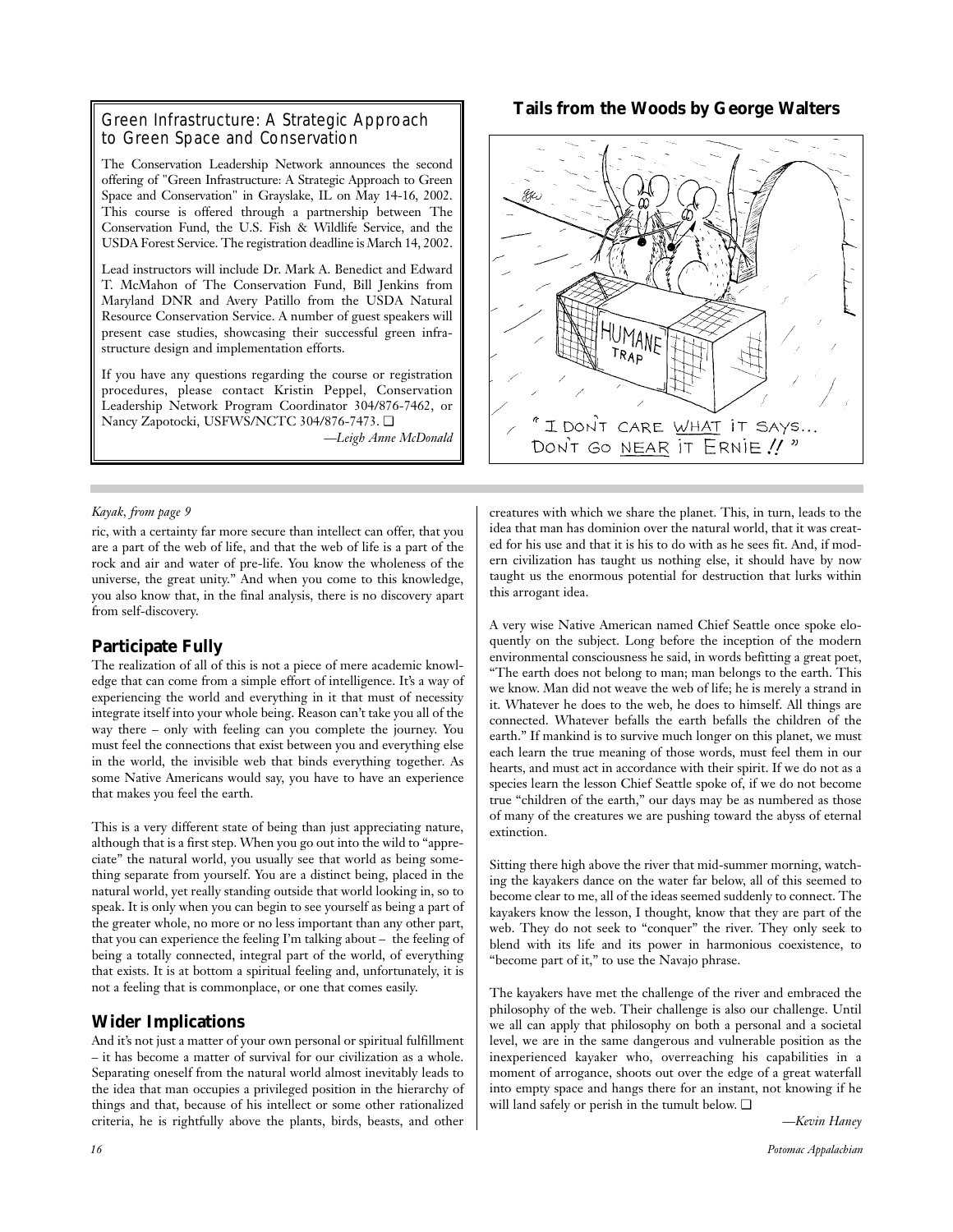#### Green Infrastructure: A Strategic Approach to Green Space and Conservation

The Conservation Leadership Network announces the second offering of "Green Infrastructure: A Strategic Approach to Green Space and Conservation" in Grayslake, IL on May 14-16, 2002. This course is offered through a partnership between The Conservation Fund, the U.S. Fish & Wildlife Service, and the USDA Forest Service. The registration deadline is March 14, 2002.

Lead instructors will include Dr. Mark A. Benedict and Edward T. McMahon of The Conservation Fund, Bill Jenkins from Maryland DNR and Avery Patillo from the USDA Natural Resource Conservation Service. A number of guest speakers will present case studies, showcasing their successful green infrastructure design and implementation efforts.

If you have any questions regarding the course or registration procedures, please contact Kristin Peppel, Conservation Leadership Network Program Coordinator 304/876-7462, or Nancy Zapotocki, USFWS/NCTC 304/876-7473. ❏

*—Leigh Anne McDonald*

#### *Kayak, from page 9*

ric, with a certainty far more secure than intellect can offer, that you are a part of the web of life, and that the web of life is a part of the rock and air and water of pre-life. You know the wholeness of the universe, the great unity." And when you come to this knowledge, you also know that, in the final analysis, there is no discovery apart from self-discovery.

#### **Participate Fully**

The realization of all of this is not a piece of mere academic knowledge that can come from a simple effort of intelligence. It's a way of experiencing the world and everything in it that must of necessity integrate itself into your whole being. Reason can't take you all of the way there – only with feeling can you complete the journey. You must feel the connections that exist between you and everything else in the world, the invisible web that binds everything together. As some Native Americans would say, you have to have an experience that makes you feel the earth.

This is a very different state of being than just appreciating nature, although that is a first step. When you go out into the wild to "appreciate" the natural world, you usually see that world as being something separate from yourself. You are a distinct being, placed in the natural world, yet really standing outside that world looking in, so to speak. It is only when you can begin to see yourself as being a part of the greater whole, no more or no less important than any other part, that you can experience the feeling I'm talking about – the feeling of being a totally connected, integral part of the world, of everything that exists. It is at bottom a spiritual feeling and, unfortunately, it is not a feeling that is commonplace, or one that comes easily.

#### **Wider Implications**

And it's not just a matter of your own personal or spiritual fulfillment – it has become a matter of survival for our civilization as a whole. Separating oneself from the natural world almost inevitably leads to the idea that man occupies a privileged position in the hierarchy of things and that, because of his intellect or some other rationalized criteria, he is rightfully above the plants, birds, beasts, and other



creatures with which we share the planet. This, in turn, leads to the idea that man has dominion over the natural world, that it was created for his use and that it is his to do with as he sees fit. And, if modern civilization has taught us nothing else, it should have by now taught us the enormous potential for destruction that lurks within this arrogant idea.

A very wise Native American named Chief Seattle once spoke eloquently on the subject. Long before the inception of the modern environmental consciousness he said, in words befitting a great poet, "The earth does not belong to man; man belongs to the earth. This we know. Man did not weave the web of life; he is merely a strand in it. Whatever he does to the web, he does to himself. All things are connected. Whatever befalls the earth befalls the children of the earth." If mankind is to survive much longer on this planet, we must each learn the true meaning of those words, must feel them in our hearts, and must act in accordance with their spirit. If we do not as a species learn the lesson Chief Seattle spoke of, if we do not become true "children of the earth," our days may be as numbered as those of many of the creatures we are pushing toward the abyss of eternal extinction.

Sitting there high above the river that mid-summer morning, watching the kayakers dance on the water far below, all of this seemed to become clear to me, all of the ideas seemed suddenly to connect. The kayakers know the lesson, I thought, know that they are part of the web. They do not seek to "conquer" the river. They only seek to blend with its life and its power in harmonious coexistence, to "become part of it," to use the Navajo phrase.

The kayakers have met the challenge of the river and embraced the philosophy of the web. Their challenge is also our challenge. Until we all can apply that philosophy on both a personal and a societal level, we are in the same dangerous and vulnerable position as the inexperienced kayaker who, overreaching his capabilities in a moment of arrogance, shoots out over the edge of a great waterfall into empty space and hangs there for an instant, not knowing if he will land safely or perish in the tumult below. ❏

*—Kevin Haney*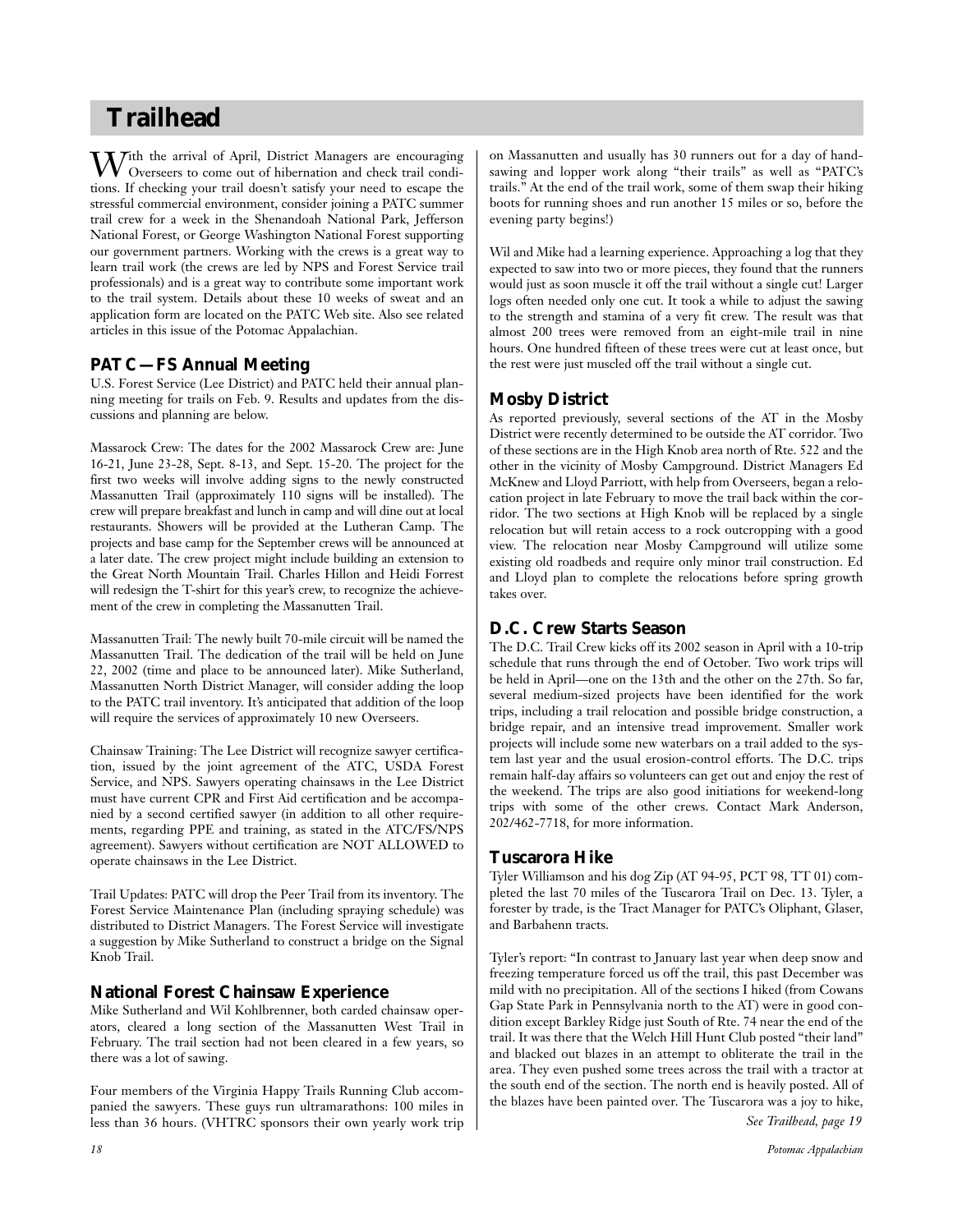# **Trailhead**

With the arrival of April, District Managers are encouraging<br>Overseers to come out of hibernation and check trail conditions. If checking your trail doesn't satisfy your need to escape the stressful commercial environment, consider joining a PATC summer trail crew for a week in the Shenandoah National Park, Jefferson National Forest, or George Washington National Forest supporting our government partners. Working with the crews is a great way to learn trail work (the crews are led by NPS and Forest Service trail professionals) and is a great way to contribute some important work to the trail system. Details about these 10 weeks of sweat and an application form are located on the PATC Web site. Also see related articles in this issue of the Potomac Appalachian.

#### **PATC—FS Annual Meeting**

U.S. Forest Service (Lee District) and PATC held their annual planning meeting for trails on Feb. 9. Results and updates from the discussions and planning are below.

Massarock Crew: The dates for the 2002 Massarock Crew are: June 16-21, June 23-28, Sept. 8-13, and Sept. 15-20. The project for the first two weeks will involve adding signs to the newly constructed Massanutten Trail (approximately 110 signs will be installed). The crew will prepare breakfast and lunch in camp and will dine out at local restaurants. Showers will be provided at the Lutheran Camp. The projects and base camp for the September crews will be announced at a later date. The crew project might include building an extension to the Great North Mountain Trail. Charles Hillon and Heidi Forrest will redesign the T-shirt for this year's crew, to recognize the achievement of the crew in completing the Massanutten Trail.

Massanutten Trail: The newly built 70-mile circuit will be named the Massanutten Trail. The dedication of the trail will be held on June 22, 2002 (time and place to be announced later). Mike Sutherland, Massanutten North District Manager, will consider adding the loop to the PATC trail inventory. It's anticipated that addition of the loop will require the services of approximately 10 new Overseers.

Chainsaw Training: The Lee District will recognize sawyer certification, issued by the joint agreement of the ATC, USDA Forest Service, and NPS. Sawyers operating chainsaws in the Lee District must have current CPR and First Aid certification and be accompanied by a second certified sawyer (in addition to all other requirements, regarding PPE and training, as stated in the ATC/FS/NPS agreement). Sawyers without certification are NOT ALLOWED to operate chainsaws in the Lee District.

Trail Updates: PATC will drop the Peer Trail from its inventory. The Forest Service Maintenance Plan (including spraying schedule) was distributed to District Managers. The Forest Service will investigate a suggestion by Mike Sutherland to construct a bridge on the Signal Knob Trail.

#### **National Forest Chainsaw Experience**

Mike Sutherland and Wil Kohlbrenner, both carded chainsaw operators, cleared a long section of the Massanutten West Trail in February. The trail section had not been cleared in a few years, so there was a lot of sawing.

Four members of the Virginia Happy Trails Running Club accompanied the sawyers. These guys run ultramarathons: 100 miles in less than 36 hours. (VHTRC sponsors their own yearly work trip on Massanutten and usually has 30 runners out for a day of handsawing and lopper work along "their trails" as well as "PATC's trails." At the end of the trail work, some of them swap their hiking boots for running shoes and run another 15 miles or so, before the evening party begins!)

Wil and Mike had a learning experience. Approaching a log that they expected to saw into two or more pieces, they found that the runners would just as soon muscle it off the trail without a single cut! Larger logs often needed only one cut. It took a while to adjust the sawing to the strength and stamina of a very fit crew. The result was that almost 200 trees were removed from an eight-mile trail in nine hours. One hundred fifteen of these trees were cut at least once, but the rest were just muscled off the trail without a single cut.

#### **Mosby District**

As reported previously, several sections of the AT in the Mosby District were recently determined to be outside the AT corridor. Two of these sections are in the High Knob area north of Rte. 522 and the other in the vicinity of Mosby Campground. District Managers Ed McKnew and Lloyd Parriott, with help from Overseers, began a relocation project in late February to move the trail back within the corridor. The two sections at High Knob will be replaced by a single relocation but will retain access to a rock outcropping with a good view. The relocation near Mosby Campground will utilize some existing old roadbeds and require only minor trail construction. Ed and Lloyd plan to complete the relocations before spring growth takes over.

## **D.C. Crew Starts Season**

The D.C. Trail Crew kicks off its 2002 season in April with a 10-trip schedule that runs through the end of October. Two work trips will be held in April—one on the 13th and the other on the 27th. So far, several medium-sized projects have been identified for the work trips, including a trail relocation and possible bridge construction, a bridge repair, and an intensive tread improvement. Smaller work projects will include some new waterbars on a trail added to the system last year and the usual erosion-control efforts. The D.C. trips remain half-day affairs so volunteers can get out and enjoy the rest of the weekend. The trips are also good initiations for weekend-long trips with some of the other crews. Contact Mark Anderson, 202/462-7718, for more information.

#### **Tuscarora Hike**

Tyler Williamson and his dog Zip (AT 94-95, PCT 98, TT 01) completed the last 70 miles of the Tuscarora Trail on Dec. 13. Tyler, a forester by trade, is the Tract Manager for PATC's Oliphant, Glaser, and Barbahenn tracts.

Tyler's report: "In contrast to January last year when deep snow and freezing temperature forced us off the trail, this past December was mild with no precipitation. All of the sections I hiked (from Cowans Gap State Park in Pennsylvania north to the AT) were in good condition except Barkley Ridge just South of Rte. 74 near the end of the trail. It was there that the Welch Hill Hunt Club posted "their land" and blacked out blazes in an attempt to obliterate the trail in the area. They even pushed some trees across the trail with a tractor at the south end of the section. The north end is heavily posted. All of the blazes have been painted over. The Tuscarora was a joy to hike,